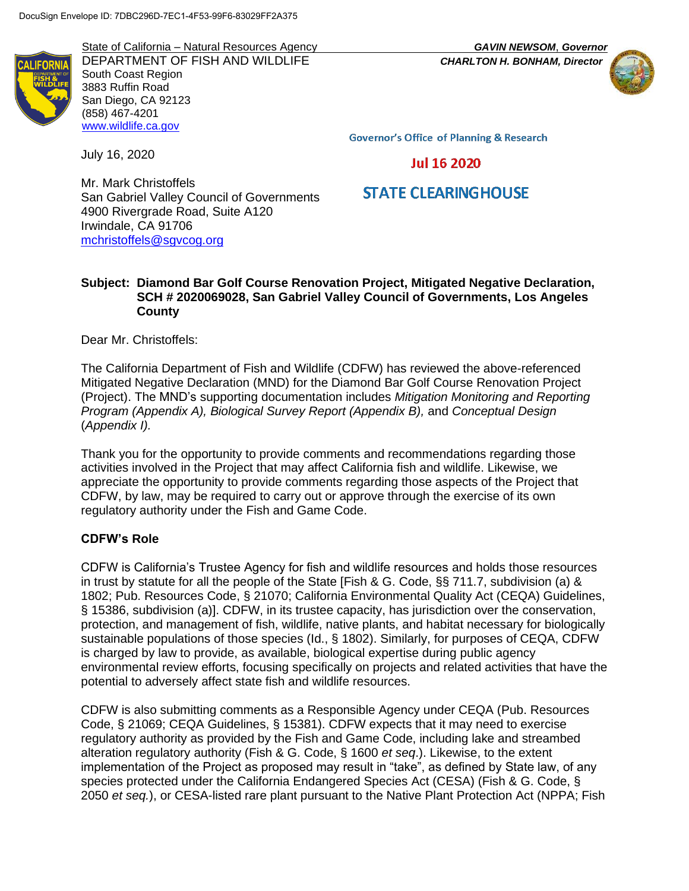State of California – Natural Resources Agency *GAVIN NEWSOM*, *Governor* DEPARTMENT OF FISH AND WILDLIFE *CHARLTON H. BONHAM, Director* South Coast Region 3883 Ruffin Road San Diego, CA 92123 (858) 467-4201 [www.wildlife.ca.gov](http://www.wildlife.ca.gov/)



**Governor's Office of Planning & Research** 

July 16, 2020

**Jul 16 2020** 

# **STATE CLEARINGHOUSE**

Mr. Mark Christoffels San Gabriel Valley Council of Governments 4900 Rivergrade Road, Suite A120 Irwindale, CA 91706 [mchristoffels@sgvcog.org](mailto:mchristoffels@sgvcog.org)

### **Subject: Diamond Bar Golf Course Renovation Project, Mitigated Negative Declaration, SCH # 2020069028, San Gabriel Valley Council of Governments, Los Angeles County**

Dear Mr. Christoffels:

The California Department of Fish and Wildlife (CDFW) has reviewed the above-referenced Mitigated Negative Declaration (MND) for the Diamond Bar Golf Course Renovation Project (Project). The MND's supporting documentation includes *Mitigation Monitoring and Reporting Program (Appendix A), Biological Survey Report (Appendix B),* and *Conceptual Design* (*Appendix I).*

Thank you for the opportunity to provide comments and recommendations regarding those activities involved in the Project that may affect California fish and wildlife. Likewise, we appreciate the opportunity to provide comments regarding those aspects of the Project that CDFW, by law, may be required to carry out or approve through the exercise of its own regulatory authority under the Fish and Game Code.

# **CDFW's Role**

CDFW is California's Trustee Agency for fish and wildlife resources and holds those resources in trust by statute for all the people of the State [Fish & G. Code, §§ 711.7, subdivision (a) & 1802; Pub. Resources Code, § 21070; California Environmental Quality Act (CEQA) Guidelines, § 15386, subdivision (a)]. CDFW, in its trustee capacity, has jurisdiction over the conservation, protection, and management of fish, wildlife, native plants, and habitat necessary for biologically sustainable populations of those species (Id., § 1802). Similarly, for purposes of CEQA, CDFW is charged by law to provide, as available, biological expertise during public agency environmental review efforts, focusing specifically on projects and related activities that have the potential to adversely affect state fish and wildlife resources.

CDFW is also submitting comments as a Responsible Agency under CEQA (Pub. Resources Code, § 21069; CEQA Guidelines, § 15381). CDFW expects that it may need to exercise regulatory authority as provided by the Fish and Game Code, including lake and streambed alteration regulatory authority (Fish & G. Code, § 1600 *et seq*.). Likewise, to the extent implementation of the Project as proposed may result in "take", as defined by State law, of any species protected under the California Endangered Species Act (CESA) (Fish & G. Code, § 2050 *et seq.*), or CESA-listed rare plant pursuant to the Native Plant Protection Act (NPPA; Fish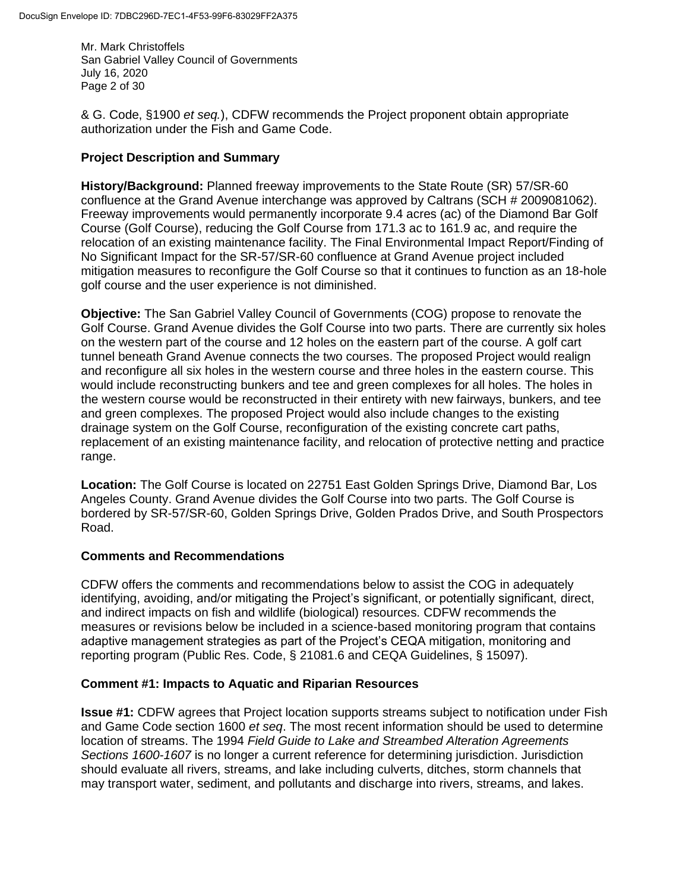Mr. Mark Christoffels San Gabriel Valley Council of Governments July 16, 2020 Page 2 of 30

& G. Code, §1900 *et seq.*), CDFW recommends the Project proponent obtain appropriate authorization under the Fish and Game Code.

### **Project Description and Summary**

**History/Background:** Planned freeway improvements to the State Route (SR) 57/SR-60 confluence at the Grand Avenue interchange was approved by Caltrans (SCH # 2009081062). Freeway improvements would permanently incorporate 9.4 acres (ac) of the Diamond Bar Golf Course (Golf Course), reducing the Golf Course from 171.3 ac to 161.9 ac, and require the relocation of an existing maintenance facility. The Final Environmental Impact Report/Finding of No Significant Impact for the SR-57/SR-60 confluence at Grand Avenue project included mitigation measures to reconfigure the Golf Course so that it continues to function as an 18-hole golf course and the user experience is not diminished.

**Objective:** The San Gabriel Valley Council of Governments (COG) propose to renovate the Golf Course. Grand Avenue divides the Golf Course into two parts. There are currently six holes on the western part of the course and 12 holes on the eastern part of the course. A golf cart tunnel beneath Grand Avenue connects the two courses. The proposed Project would realign and reconfigure all six holes in the western course and three holes in the eastern course. This would include reconstructing bunkers and tee and green complexes for all holes. The holes in the western course would be reconstructed in their entirety with new fairways, bunkers, and tee and green complexes. The proposed Project would also include changes to the existing drainage system on the Golf Course, reconfiguration of the existing concrete cart paths, replacement of an existing maintenance facility, and relocation of protective netting and practice range.

**Location:** The Golf Course is located on 22751 East Golden Springs Drive, Diamond Bar, Los Angeles County. Grand Avenue divides the Golf Course into two parts. The Golf Course is bordered by SR-57/SR-60, Golden Springs Drive, Golden Prados Drive, and South Prospectors Road.

# **Comments and Recommendations**

CDFW offers the comments and recommendations below to assist the COG in adequately identifying, avoiding, and/or mitigating the Project's significant, or potentially significant, direct, and indirect impacts on fish and wildlife (biological) resources. CDFW recommends the measures or revisions below be included in a science-based monitoring program that contains adaptive management strategies as part of the Project's CEQA mitigation, monitoring and reporting program (Public Res. Code, § 21081.6 and CEQA Guidelines, § 15097).

# **Comment #1: Impacts to Aquatic and Riparian Resources**

**Issue #1:** CDFW agrees that Project location supports streams subject to notification under Fish and Game Code section 1600 *et seq*. The most recent information should be used to determine location of streams. The 1994 *Field Guide to Lake and Streambed Alteration Agreements Sections 1600-1607* is no longer a current reference for determining jurisdiction. Jurisdiction should evaluate all rivers, streams, and lake including culverts, ditches, storm channels that may transport water, sediment, and pollutants and discharge into rivers, streams, and lakes.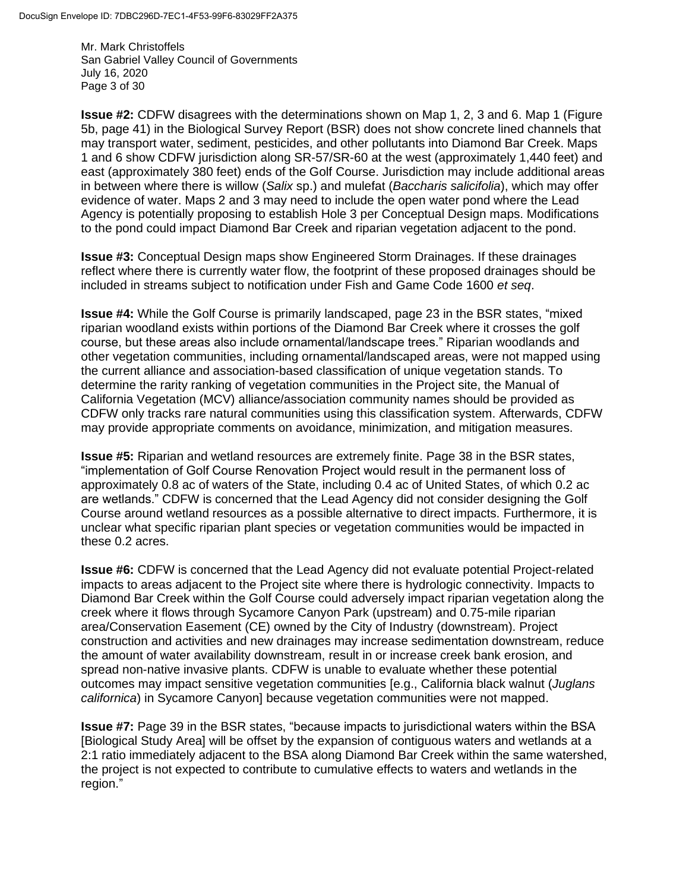Mr. Mark Christoffels San Gabriel Valley Council of Governments July 16, 2020 Page 3 of 30

**Issue #2:** CDFW disagrees with the determinations shown on Map 1, 2, 3 and 6. Map 1 (Figure 5b, page 41) in the Biological Survey Report (BSR) does not show concrete lined channels that may transport water, sediment, pesticides, and other pollutants into Diamond Bar Creek. Maps 1 and 6 show CDFW jurisdiction along SR-57/SR-60 at the west (approximately 1,440 feet) and east (approximately 380 feet) ends of the Golf Course. Jurisdiction may include additional areas in between where there is willow (*Salix* sp.) and mulefat (*Baccharis salicifolia*), which may offer evidence of water. Maps 2 and 3 may need to include the open water pond where the Lead Agency is potentially proposing to establish Hole 3 per Conceptual Design maps. Modifications to the pond could impact Diamond Bar Creek and riparian vegetation adjacent to the pond.

**Issue #3:** Conceptual Design maps show Engineered Storm Drainages. If these drainages reflect where there is currently water flow, the footprint of these proposed drainages should be included in streams subject to notification under Fish and Game Code 1600 *et seq*.

**Issue #4:** While the Golf Course is primarily landscaped, page 23 in the BSR states, "mixed riparian woodland exists within portions of the Diamond Bar Creek where it crosses the golf course, but these areas also include ornamental/landscape trees." Riparian woodlands and other vegetation communities, including ornamental/landscaped areas, were not mapped using the current alliance and association-based classification of unique vegetation stands. To determine the rarity ranking of vegetation communities in the Project site, the Manual of California Vegetation (MCV) alliance/association community names should be provided as CDFW only tracks rare natural communities using this classification system. Afterwards, CDFW may provide appropriate comments on avoidance, minimization, and mitigation measures.

**Issue #5:** Riparian and wetland resources are extremely finite. Page 38 in the BSR states, "implementation of Golf Course Renovation Project would result in the permanent loss of approximately 0.8 ac of waters of the State, including 0.4 ac of United States, of which 0.2 ac are wetlands." CDFW is concerned that the Lead Agency did not consider designing the Golf Course around wetland resources as a possible alternative to direct impacts. Furthermore, it is unclear what specific riparian plant species or vegetation communities would be impacted in these 0.2 acres.

**Issue #6:** CDFW is concerned that the Lead Agency did not evaluate potential Project-related impacts to areas adjacent to the Project site where there is hydrologic connectivity. Impacts to Diamond Bar Creek within the Golf Course could adversely impact riparian vegetation along the creek where it flows through Sycamore Canyon Park (upstream) and 0.75-mile riparian area/Conservation Easement (CE) owned by the City of Industry (downstream). Project construction and activities and new drainages may increase sedimentation downstream, reduce the amount of water availability downstream, result in or increase creek bank erosion, and spread non-native invasive plants. CDFW is unable to evaluate whether these potential outcomes may impact sensitive vegetation communities [e.g., California black walnut (*Juglans californica*) in Sycamore Canyon] because vegetation communities were not mapped.

**Issue #7:** Page 39 in the BSR states, "because impacts to jurisdictional waters within the BSA [Biological Study Area] will be offset by the expansion of contiguous waters and wetlands at a 2:1 ratio immediately adjacent to the BSA along Diamond Bar Creek within the same watershed, the project is not expected to contribute to cumulative effects to waters and wetlands in the region."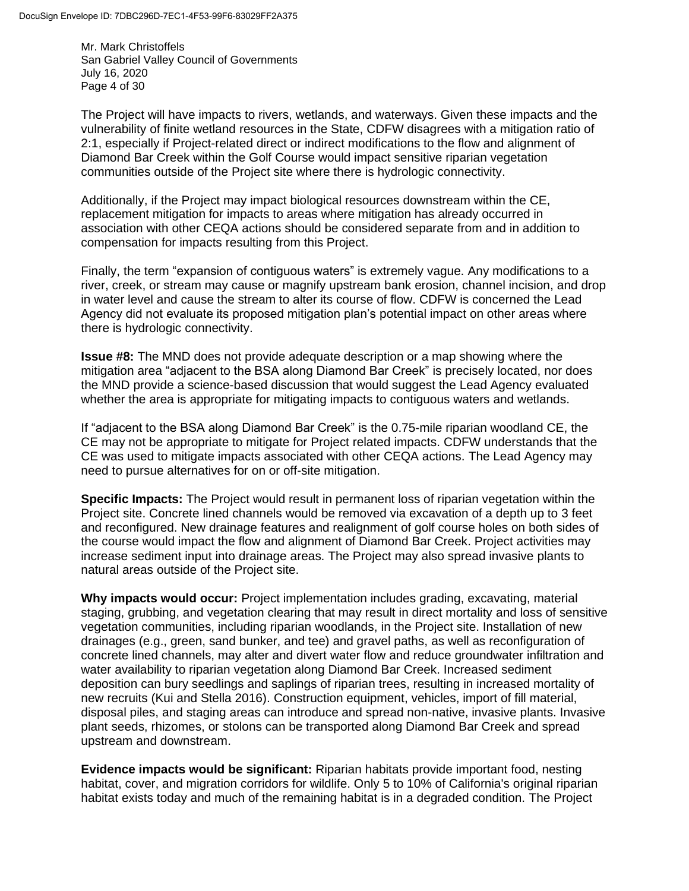Mr. Mark Christoffels San Gabriel Valley Council of Governments July 16, 2020 Page 4 of 30

The Project will have impacts to rivers, wetlands, and waterways. Given these impacts and the vulnerability of finite wetland resources in the State, CDFW disagrees with a mitigation ratio of 2:1, especially if Project-related direct or indirect modifications to the flow and alignment of Diamond Bar Creek within the Golf Course would impact sensitive riparian vegetation communities outside of the Project site where there is hydrologic connectivity.

Additionally, if the Project may impact biological resources downstream within the CE, replacement mitigation for impacts to areas where mitigation has already occurred in association with other CEQA actions should be considered separate from and in addition to compensation for impacts resulting from this Project.

Finally, the term "expansion of contiguous waters" is extremely vague. Any modifications to a river, creek, or stream may cause or magnify upstream bank erosion, channel incision, and drop in water level and cause the stream to alter its course of flow. CDFW is concerned the Lead Agency did not evaluate its proposed mitigation plan's potential impact on other areas where there is hydrologic connectivity.

**Issue #8:** The MND does not provide adequate description or a map showing where the mitigation area "adjacent to the BSA along Diamond Bar Creek" is precisely located, nor does the MND provide a science-based discussion that would suggest the Lead Agency evaluated whether the area is appropriate for mitigating impacts to contiguous waters and wetlands.

If "adjacent to the BSA along Diamond Bar Creek" is the 0.75-mile riparian woodland CE, the CE may not be appropriate to mitigate for Project related impacts. CDFW understands that the CE was used to mitigate impacts associated with other CEQA actions. The Lead Agency may need to pursue alternatives for on or off-site mitigation.

**Specific Impacts:** The Project would result in permanent loss of riparian vegetation within the Project site. Concrete lined channels would be removed via excavation of a depth up to 3 feet and reconfigured. New drainage features and realignment of golf course holes on both sides of the course would impact the flow and alignment of Diamond Bar Creek. Project activities may increase sediment input into drainage areas. The Project may also spread invasive plants to natural areas outside of the Project site.

**Why impacts would occur:** Project implementation includes grading, excavating, material staging, grubbing, and vegetation clearing that may result in direct mortality and loss of sensitive vegetation communities, including riparian woodlands, in the Project site. Installation of new drainages (e.g., green, sand bunker, and tee) and gravel paths, as well as reconfiguration of concrete lined channels, may alter and divert water flow and reduce groundwater infiltration and water availability to riparian vegetation along Diamond Bar Creek. Increased sediment deposition can bury seedlings and saplings of riparian trees, resulting in increased mortality of new recruits (Kui and Stella 2016). Construction equipment, vehicles, import of fill material, disposal piles, and staging areas can introduce and spread non-native, invasive plants. Invasive plant seeds, rhizomes, or stolons can be transported along Diamond Bar Creek and spread upstream and downstream.

**Evidence impacts would be significant:** Riparian habitats provide important food, nesting habitat, cover, and migration corridors for wildlife. Only 5 to 10% of California's original riparian habitat exists today and much of the remaining habitat is in a degraded condition. The Project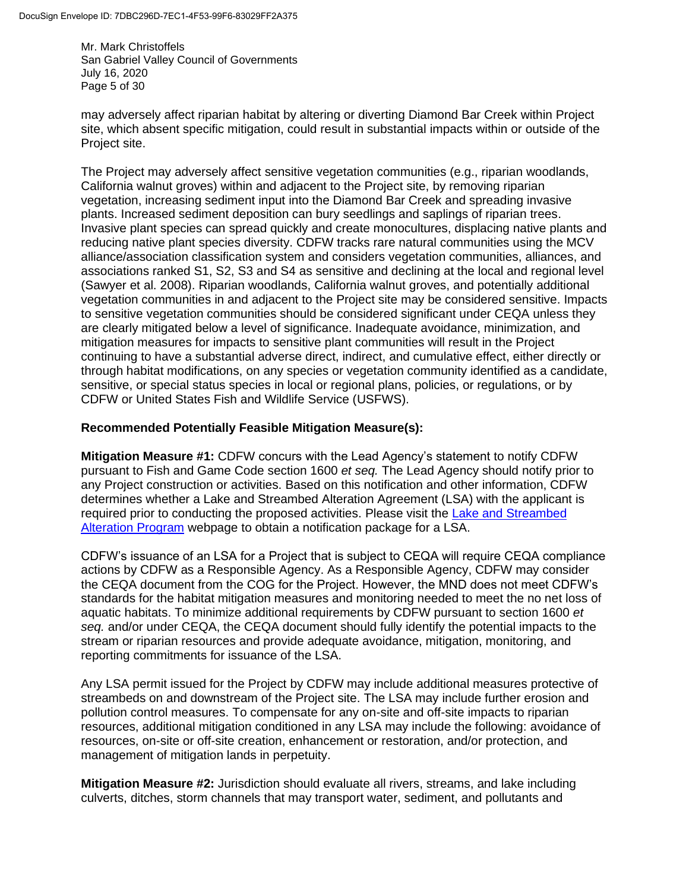Mr. Mark Christoffels San Gabriel Valley Council of Governments July 16, 2020 Page 5 of 30

may adversely affect riparian habitat by altering or diverting Diamond Bar Creek within Project site, which absent specific mitigation, could result in substantial impacts within or outside of the Project site.

The Project may adversely affect sensitive vegetation communities (e.g., riparian woodlands, California walnut groves) within and adjacent to the Project site, by removing riparian vegetation, increasing sediment input into the Diamond Bar Creek and spreading invasive plants. Increased sediment deposition can bury seedlings and saplings of riparian trees. Invasive plant species can spread quickly and create monocultures, displacing native plants and reducing native plant species diversity. CDFW tracks rare natural communities using the MCV alliance/association classification system and considers vegetation communities, alliances, and associations ranked S1, S2, S3 and S4 as sensitive and declining at the local and regional level (Sawyer et al. 2008). Riparian woodlands, California walnut groves, and potentially additional vegetation communities in and adjacent to the Project site may be considered sensitive. Impacts to sensitive vegetation communities should be considered significant under CEQA unless they are clearly mitigated below a level of significance. Inadequate avoidance, minimization, and mitigation measures for impacts to sensitive plant communities will result in the Project continuing to have a substantial adverse direct, indirect, and cumulative effect, either directly or through habitat modifications, on any species or vegetation community identified as a candidate, sensitive, or special status species in local or regional plans, policies, or regulations, or by CDFW or United States Fish and Wildlife Service (USFWS).

# **Recommended Potentially Feasible Mitigation Measure(s):**

**Mitigation Measure #1:** CDFW concurs with the Lead Agency's statement to notify CDFW pursuant to Fish and Game Code section 1600 *et seq.* The Lead Agency should notify prior to any Project construction or activities. Based on this notification and other information, CDFW determines whether a Lake and Streambed Alteration Agreement (LSA) with the applicant is required prior to conducting the proposed activities. Please visit the [Lake and Streambed](https://wildlife.ca.gov/Conservation/LSA)  [Alteration Program](https://wildlife.ca.gov/Conservation/LSA) webpage to obtain a notification package for a LSA.

CDFW's issuance of an LSA for a Project that is subject to CEQA will require CEQA compliance actions by CDFW as a Responsible Agency. As a Responsible Agency, CDFW may consider the CEQA document from the COG for the Project. However, the MND does not meet CDFW's standards for the habitat mitigation measures and monitoring needed to meet the no net loss of aquatic habitats. To minimize additional requirements by CDFW pursuant to section 1600 *et seq.* and/or under CEQA, the CEQA document should fully identify the potential impacts to the stream or riparian resources and provide adequate avoidance, mitigation, monitoring, and reporting commitments for issuance of the LSA.

Any LSA permit issued for the Project by CDFW may include additional measures protective of streambeds on and downstream of the Project site. The LSA may include further erosion and pollution control measures. To compensate for any on-site and off-site impacts to riparian resources, additional mitigation conditioned in any LSA may include the following: avoidance of resources, on-site or off-site creation, enhancement or restoration, and/or protection, and management of mitigation lands in perpetuity.

**Mitigation Measure #2:** Jurisdiction should evaluate all rivers, streams, and lake including culverts, ditches, storm channels that may transport water, sediment, and pollutants and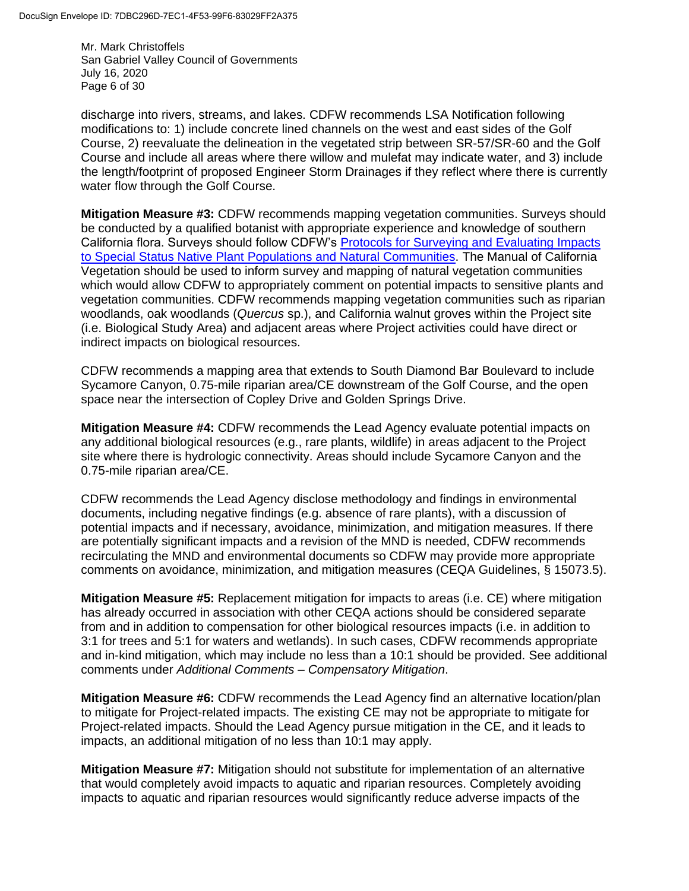Mr. Mark Christoffels San Gabriel Valley Council of Governments July 16, 2020 Page 6 of 30

discharge into rivers, streams, and lakes. CDFW recommends LSA Notification following modifications to: 1) include concrete lined channels on the west and east sides of the Golf Course, 2) reevaluate the delineation in the vegetated strip between SR-57/SR-60 and the Golf Course and include all areas where there willow and mulefat may indicate water, and 3) include the length/footprint of proposed Engineer Storm Drainages if they reflect where there is currently water flow through the Golf Course.

**Mitigation Measure #3:** CDFW recommends mapping vegetation communities. Surveys should be conducted by a qualified botanist with appropriate experience and knowledge of southern California flora. Surveys should follow CDFW's [Protocols for Surveying and Evaluating Impacts](http://nrm.dfg.ca.gov/FileHandler.ashx?DocumentID=18959)  [to Special Status Native Plant Populations and Natural Communities.](http://nrm.dfg.ca.gov/FileHandler.ashx?DocumentID=18959) The Manual of California Vegetation should be used to inform survey and mapping of natural vegetation communities which would allow CDFW to appropriately comment on potential impacts to sensitive plants and vegetation communities. CDFW recommends mapping vegetation communities such as riparian woodlands, oak woodlands (*Quercus* sp.), and California walnut groves within the Project site (i.e. Biological Study Area) and adjacent areas where Project activities could have direct or indirect impacts on biological resources.

CDFW recommends a mapping area that extends to South Diamond Bar Boulevard to include Sycamore Canyon, 0.75-mile riparian area/CE downstream of the Golf Course, and the open space near the intersection of Copley Drive and Golden Springs Drive.

**Mitigation Measure #4:** CDFW recommends the Lead Agency evaluate potential impacts on any additional biological resources (e.g., rare plants, wildlife) in areas adjacent to the Project site where there is hydrologic connectivity. Areas should include Sycamore Canyon and the 0.75-mile riparian area/CE.

CDFW recommends the Lead Agency disclose methodology and findings in environmental documents, including negative findings (e.g. absence of rare plants), with a discussion of potential impacts and if necessary, avoidance, minimization, and mitigation measures. If there are potentially significant impacts and a revision of the MND is needed, CDFW recommends recirculating the MND and environmental documents so CDFW may provide more appropriate comments on avoidance, minimization, and mitigation measures (CEQA Guidelines, § 15073.5).

**Mitigation Measure #5:** Replacement mitigation for impacts to areas (i.e. CE) where mitigation has already occurred in association with other CEQA actions should be considered separate from and in addition to compensation for other biological resources impacts (i.e. in addition to 3:1 for trees and 5:1 for waters and wetlands). In such cases, CDFW recommends appropriate and in-kind mitigation, which may include no less than a 10:1 should be provided. See additional comments under *Additional Comments – Compensatory Mitigation*.

**Mitigation Measure #6:** CDFW recommends the Lead Agency find an alternative location/plan to mitigate for Project-related impacts. The existing CE may not be appropriate to mitigate for Project-related impacts. Should the Lead Agency pursue mitigation in the CE, and it leads to impacts, an additional mitigation of no less than 10:1 may apply.

**Mitigation Measure #7:** Mitigation should not substitute for implementation of an alternative that would completely avoid impacts to aquatic and riparian resources. Completely avoiding impacts to aquatic and riparian resources would significantly reduce adverse impacts of the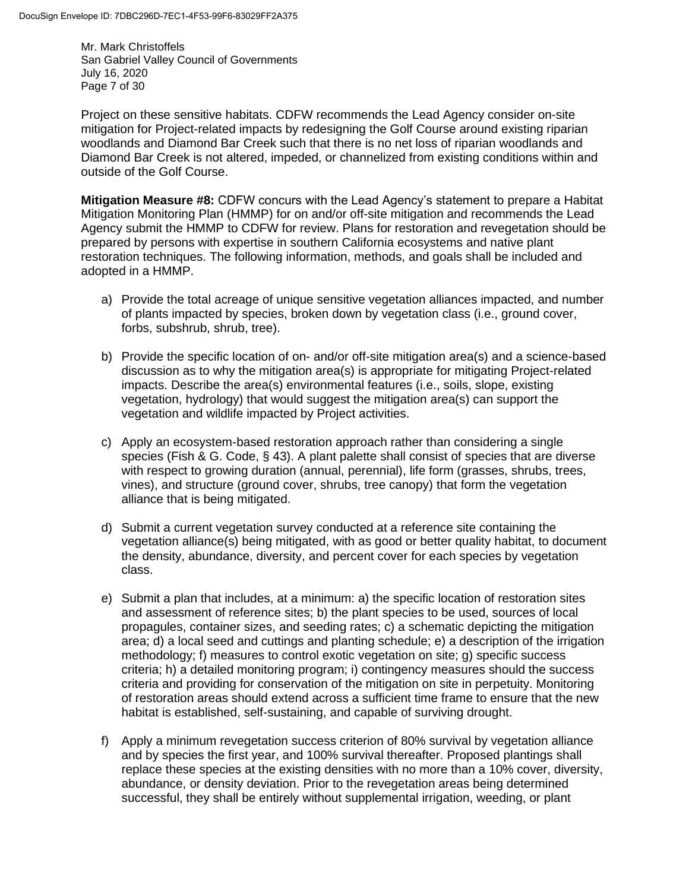Mr. Mark Christoffels San Gabriel Valley Council of Governments July 16, 2020 Page 7 of 30

Project on these sensitive habitats. CDFW recommends the Lead Agency consider on-site mitigation for Project-related impacts by redesigning the Golf Course around existing riparian woodlands and Diamond Bar Creek such that there is no net loss of riparian woodlands and Diamond Bar Creek is not altered, impeded, or channelized from existing conditions within and outside of the Golf Course.

**Mitigation Measure #8:** CDFW concurs with the Lead Agency's statement to prepare a Habitat Mitigation Monitoring Plan (HMMP) for on and/or off-site mitigation and recommends the Lead Agency submit the HMMP to CDFW for review. Plans for restoration and revegetation should be prepared by persons with expertise in southern California ecosystems and native plant restoration techniques. The following information, methods, and goals shall be included and adopted in a HMMP.

- a) Provide the total acreage of unique sensitive vegetation alliances impacted, and number of plants impacted by species, broken down by vegetation class (i.e., ground cover, forbs, subshrub, shrub, tree).
- b) Provide the specific location of on- and/or off-site mitigation area(s) and a science-based discussion as to why the mitigation area(s) is appropriate for mitigating Project-related impacts. Describe the area(s) environmental features (i.e., soils, slope, existing vegetation, hydrology) that would suggest the mitigation area(s) can support the vegetation and wildlife impacted by Project activities.
- c) Apply an ecosystem-based restoration approach rather than considering a single species (Fish & G. Code, § 43). A plant palette shall consist of species that are diverse with respect to growing duration (annual, perennial), life form (grasses, shrubs, trees, vines), and structure (ground cover, shrubs, tree canopy) that form the vegetation alliance that is being mitigated.
- d) Submit a current vegetation survey conducted at a reference site containing the vegetation alliance(s) being mitigated, with as good or better quality habitat, to document the density, abundance, diversity, and percent cover for each species by vegetation class.
- e) Submit a plan that includes, at a minimum: a) the specific location of restoration sites and assessment of reference sites; b) the plant species to be used, sources of local propagules, container sizes, and seeding rates; c) a schematic depicting the mitigation area; d) a local seed and cuttings and planting schedule; e) a description of the irrigation methodology; f) measures to control exotic vegetation on site; g) specific success criteria; h) a detailed monitoring program; i) contingency measures should the success criteria and providing for conservation of the mitigation on site in perpetuity. Monitoring of restoration areas should extend across a sufficient time frame to ensure that the new habitat is established, self-sustaining, and capable of surviving drought.
- f) Apply a minimum revegetation success criterion of 80% survival by vegetation alliance and by species the first year, and 100% survival thereafter. Proposed plantings shall replace these species at the existing densities with no more than a 10% cover, diversity, abundance, or density deviation. Prior to the revegetation areas being determined successful, they shall be entirely without supplemental irrigation, weeding, or plant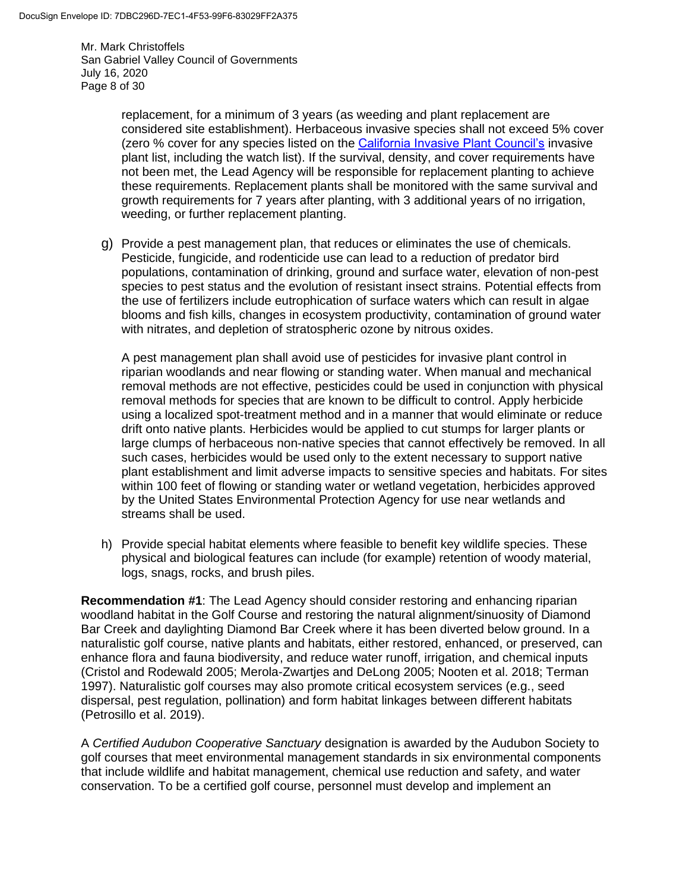Mr. Mark Christoffels San Gabriel Valley Council of Governments July 16, 2020 Page 8 of 30

> replacement, for a minimum of 3 years (as weeding and plant replacement are considered site establishment). Herbaceous invasive species shall not exceed 5% cover (zero % cover for any species listed on the [California Invasive Plant Council's](https://www.cal-ipc.org/plants/inventory/) invasive plant list, including the watch list). If the survival, density, and cover requirements have not been met, the Lead Agency will be responsible for replacement planting to achieve these requirements. Replacement plants shall be monitored with the same survival and growth requirements for 7 years after planting, with 3 additional years of no irrigation, weeding, or further replacement planting.

g) Provide a pest management plan, that reduces or eliminates the use of chemicals. Pesticide, fungicide, and rodenticide use can lead to a reduction of predator bird populations, contamination of drinking, ground and surface water, elevation of non-pest species to pest status and the evolution of resistant insect strains. Potential effects from the use of fertilizers include eutrophication of surface waters which can result in algae blooms and fish kills, changes in ecosystem productivity, contamination of ground water with nitrates, and depletion of stratospheric ozone by nitrous oxides.

A pest management plan shall avoid use of pesticides for invasive plant control in riparian woodlands and near flowing or standing water. When manual and mechanical removal methods are not effective, pesticides could be used in conjunction with physical removal methods for species that are known to be difficult to control. Apply herbicide using a localized spot-treatment method and in a manner that would eliminate or reduce drift onto native plants. Herbicides would be applied to cut stumps for larger plants or large clumps of herbaceous non-native species that cannot effectively be removed. In all such cases, herbicides would be used only to the extent necessary to support native plant establishment and limit adverse impacts to sensitive species and habitats. For sites within 100 feet of flowing or standing water or wetland vegetation, herbicides approved by the United States Environmental Protection Agency for use near wetlands and streams shall be used.

h) Provide special habitat elements where feasible to benefit key wildlife species. These physical and biological features can include (for example) retention of woody material, logs, snags, rocks, and brush piles.

**Recommendation #1**: The Lead Agency should consider restoring and enhancing riparian woodland habitat in the Golf Course and restoring the natural alignment/sinuosity of Diamond Bar Creek and daylighting Diamond Bar Creek where it has been diverted below ground. In a naturalistic golf course, native plants and habitats, either restored, enhanced, or preserved, can enhance flora and fauna biodiversity, and reduce water runoff, irrigation, and chemical inputs (Cristol and Rodewald 2005; Merola-Zwartjes and DeLong 2005; Nooten et al. 2018; Terman 1997). Naturalistic golf courses may also promote critical ecosystem services (e.g., seed dispersal, pest regulation, pollination) and form habitat linkages between different habitats (Petrosillo et al. 2019).

A *Certified Audubon Cooperative Sanctuary* designation is awarded by the Audubon Society to golf courses that meet environmental management standards in six environmental components that include wildlife and habitat management, chemical use reduction and safety, and water conservation. To be a certified golf course, personnel must develop and implement an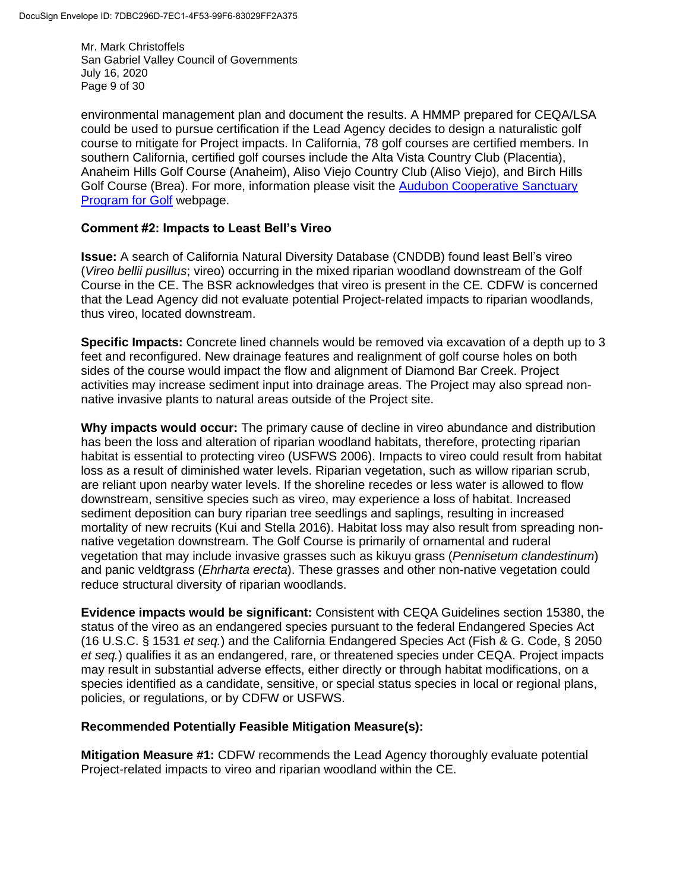Mr. Mark Christoffels San Gabriel Valley Council of Governments July 16, 2020 Page 9 of 30

environmental management plan and document the results. A HMMP prepared for CEQA/LSA could be used to pursue certification if the Lead Agency decides to design a naturalistic golf course to mitigate for Project impacts. In California, 78 golf courses are certified members. In southern California, certified golf courses include the Alta Vista Country Club (Placentia), Anaheim Hills Golf Course (Anaheim), Aliso Viejo Country Club (Aliso Viejo), and Birch Hills Golf Course (Brea). For more, information please visit the **Audubon Cooperative Sanctuary** [Program for Golf](https://auduboninternational.org/acsp-for-golf/) webpage.

#### **Comment #2: Impacts to Least Bell's Vireo**

**Issue:** A search of California Natural Diversity Database (CNDDB) found least Bell's vireo (*Vireo bellii pusillus*; vireo) occurring in the mixed riparian woodland downstream of the Golf Course in the CE. The BSR acknowledges that vireo is present in the CE*.* CDFW is concerned that the Lead Agency did not evaluate potential Project-related impacts to riparian woodlands, thus vireo, located downstream.

**Specific Impacts:** Concrete lined channels would be removed via excavation of a depth up to 3 feet and reconfigured. New drainage features and realignment of golf course holes on both sides of the course would impact the flow and alignment of Diamond Bar Creek. Project activities may increase sediment input into drainage areas. The Project may also spread nonnative invasive plants to natural areas outside of the Project site.

**Why impacts would occur:** The primary cause of decline in vireo abundance and distribution has been the loss and alteration of riparian woodland habitats, therefore, protecting riparian habitat is essential to protecting vireo (USFWS 2006). Impacts to vireo could result from habitat loss as a result of diminished water levels. Riparian vegetation, such as willow riparian scrub, are reliant upon nearby water levels. If the shoreline recedes or less water is allowed to flow downstream, sensitive species such as vireo, may experience a loss of habitat. Increased sediment deposition can bury riparian tree seedlings and saplings, resulting in increased mortality of new recruits (Kui and Stella 2016). Habitat loss may also result from spreading nonnative vegetation downstream. The Golf Course is primarily of ornamental and ruderal vegetation that may include invasive grasses such as kikuyu grass (*Pennisetum clandestinum*) and panic veldtgrass (*Ehrharta erecta*). These grasses and other non-native vegetation could reduce structural diversity of riparian woodlands.

**Evidence impacts would be significant:** Consistent with CEQA Guidelines section 15380, the status of the vireo as an endangered species pursuant to the federal Endangered Species Act (16 U.S.C. § 1531 *et seq.*) and the California Endangered Species Act (Fish & G. Code, § 2050 *et seq.*) qualifies it as an endangered, rare, or threatened species under CEQA. Project impacts may result in substantial adverse effects, either directly or through habitat modifications, on a species identified as a candidate, sensitive, or special status species in local or regional plans, policies, or regulations, or by CDFW or USFWS.

#### **Recommended Potentially Feasible Mitigation Measure(s):**

**Mitigation Measure #1:** CDFW recommends the Lead Agency thoroughly evaluate potential Project-related impacts to vireo and riparian woodland within the CE.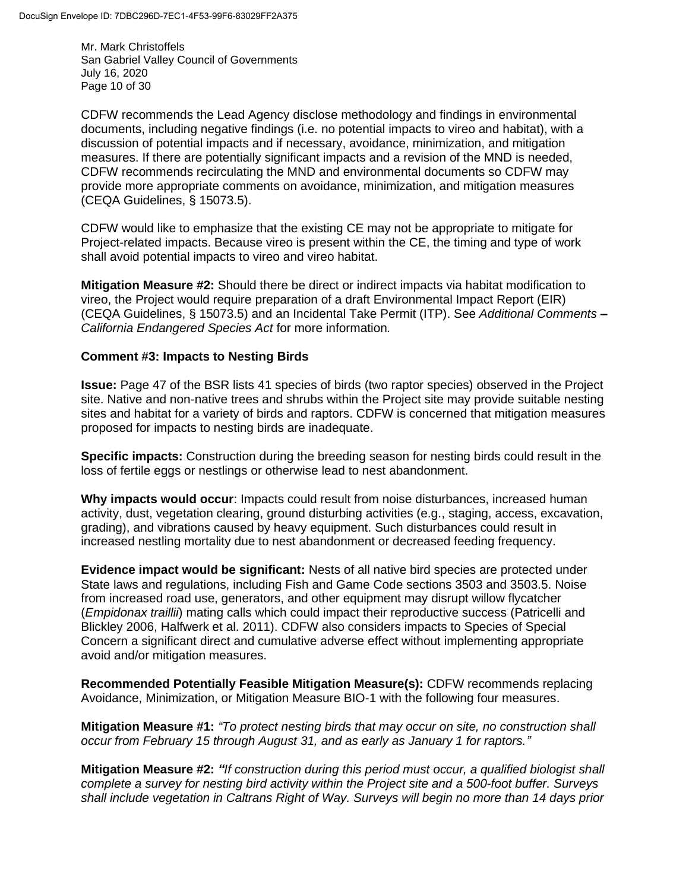Mr. Mark Christoffels San Gabriel Valley Council of Governments July 16, 2020 Page 10 of 30

CDFW recommends the Lead Agency disclose methodology and findings in environmental documents, including negative findings (i.e. no potential impacts to vireo and habitat), with a discussion of potential impacts and if necessary, avoidance, minimization, and mitigation measures. If there are potentially significant impacts and a revision of the MND is needed, CDFW recommends recirculating the MND and environmental documents so CDFW may provide more appropriate comments on avoidance, minimization, and mitigation measures (CEQA Guidelines, § 15073.5).

CDFW would like to emphasize that the existing CE may not be appropriate to mitigate for Project-related impacts. Because vireo is present within the CE, the timing and type of work shall avoid potential impacts to vireo and vireo habitat.

**Mitigation Measure #2:** Should there be direct or indirect impacts via habitat modification to vireo, the Project would require preparation of a draft Environmental Impact Report (EIR) (CEQA Guidelines, § 15073.5) and an Incidental Take Permit (ITP). See *Additional Comments – California Endangered Species Act* for more information*.*

#### **Comment #3: Impacts to Nesting Birds**

**Issue:** Page 47 of the BSR lists 41 species of birds (two raptor species) observed in the Project site. Native and non-native trees and shrubs within the Project site may provide suitable nesting sites and habitat for a variety of birds and raptors. CDFW is concerned that mitigation measures proposed for impacts to nesting birds are inadequate.

**Specific impacts:** Construction during the breeding season for nesting birds could result in the loss of fertile eggs or nestlings or otherwise lead to nest abandonment.

**Why impacts would occur**: Impacts could result from noise disturbances, increased human activity, dust, vegetation clearing, ground disturbing activities (e.g., staging, access, excavation, grading), and vibrations caused by heavy equipment. Such disturbances could result in increased nestling mortality due to nest abandonment or decreased feeding frequency.

**Evidence impact would be significant:** Nests of all native bird species are protected under State laws and regulations, including Fish and Game Code sections 3503 and 3503.5. Noise from increased road use, generators, and other equipment may disrupt willow flycatcher (*Empidonax traillii*) mating calls which could impact their reproductive success (Patricelli and Blickley 2006, Halfwerk et al. 2011). CDFW also considers impacts to Species of Special Concern a significant direct and cumulative adverse effect without implementing appropriate avoid and/or mitigation measures.

**Recommended Potentially Feasible Mitigation Measure(s):** CDFW recommends replacing Avoidance, Minimization, or Mitigation Measure BIO-1 with the following four measures.

**Mitigation Measure #1:** *"To protect nesting birds that may occur on site, no construction shall occur from February 15 through August 31, and as early as January 1 for raptors."*

**Mitigation Measure #2:** *"If construction during this period must occur, a qualified biologist shall complete a survey for nesting bird activity within the Project site and a 500-foot buffer. Surveys shall include vegetation in Caltrans Right of Way. Surveys will begin no more than 14 days prior*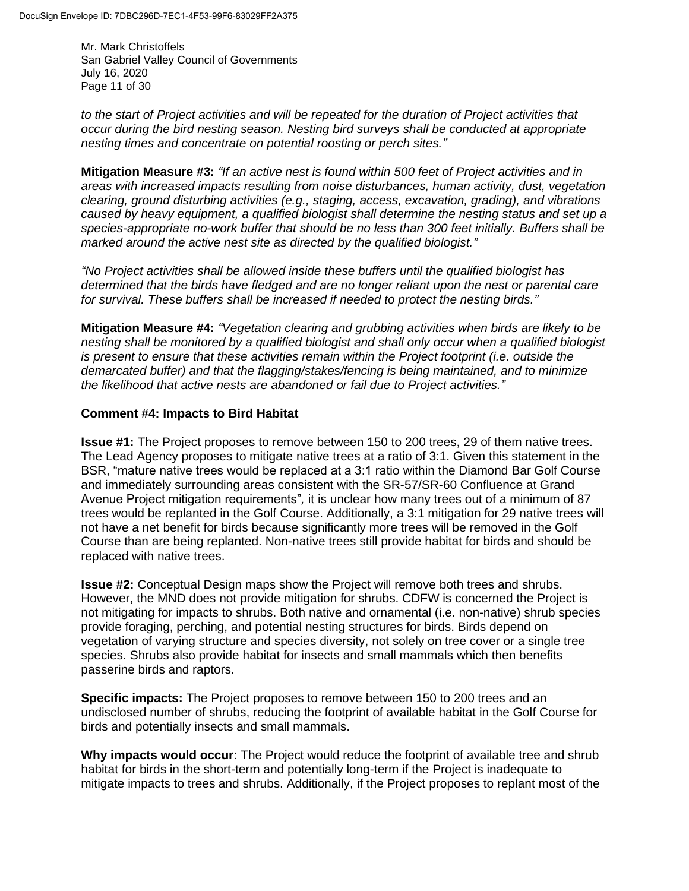Mr. Mark Christoffels San Gabriel Valley Council of Governments July 16, 2020 Page 11 of 30

*to the start of Project activities and will be repeated for the duration of Project activities that occur during the bird nesting season. Nesting bird surveys shall be conducted at appropriate nesting times and concentrate on potential roosting or perch sites."*

**Mitigation Measure #3:** *"If an active nest is found within 500 feet of Project activities and in areas with increased impacts resulting from noise disturbances, human activity, dust, vegetation clearing, ground disturbing activities (e.g., staging, access, excavation, grading), and vibrations caused by heavy equipment, a qualified biologist shall determine the nesting status and set up a species-appropriate no-work buffer that should be no less than 300 feet initially. Buffers shall be marked around the active nest site as directed by the qualified biologist."*

*"No Project activities shall be allowed inside these buffers until the qualified biologist has determined that the birds have fledged and are no longer reliant upon the nest or parental care for survival. These buffers shall be increased if needed to protect the nesting birds."*

**Mitigation Measure #4:** *"Vegetation clearing and grubbing activities when birds are likely to be nesting shall be monitored by a qualified biologist and shall only occur when a qualified biologist is present to ensure that these activities remain within the Project footprint (i.e. outside the demarcated buffer) and that the flagging/stakes/fencing is being maintained, and to minimize the likelihood that active nests are abandoned or fail due to Project activities."*

# **Comment #4: Impacts to Bird Habitat**

**Issue #1:** The Project proposes to remove between 150 to 200 trees, 29 of them native trees. The Lead Agency proposes to mitigate native trees at a ratio of 3:1. Given this statement in the BSR, "mature native trees would be replaced at a 3:1 ratio within the Diamond Bar Golf Course and immediately surrounding areas consistent with the SR-57/SR-60 Confluence at Grand Avenue Project mitigation requirements"*,* it is unclear how many trees out of a minimum of 87 trees would be replanted in the Golf Course. Additionally, a 3:1 mitigation for 29 native trees will not have a net benefit for birds because significantly more trees will be removed in the Golf Course than are being replanted. Non-native trees still provide habitat for birds and should be replaced with native trees.

**Issue #2:** Conceptual Design maps show the Project will remove both trees and shrubs. However, the MND does not provide mitigation for shrubs. CDFW is concerned the Project is not mitigating for impacts to shrubs. Both native and ornamental (i.e. non-native) shrub species provide foraging, perching, and potential nesting structures for birds. Birds depend on vegetation of varying structure and species diversity, not solely on tree cover or a single tree species. Shrubs also provide habitat for insects and small mammals which then benefits passerine birds and raptors.

**Specific impacts:** The Project proposes to remove between 150 to 200 trees and an undisclosed number of shrubs, reducing the footprint of available habitat in the Golf Course for birds and potentially insects and small mammals.

**Why impacts would occur**: The Project would reduce the footprint of available tree and shrub habitat for birds in the short-term and potentially long-term if the Project is inadequate to mitigate impacts to trees and shrubs. Additionally, if the Project proposes to replant most of the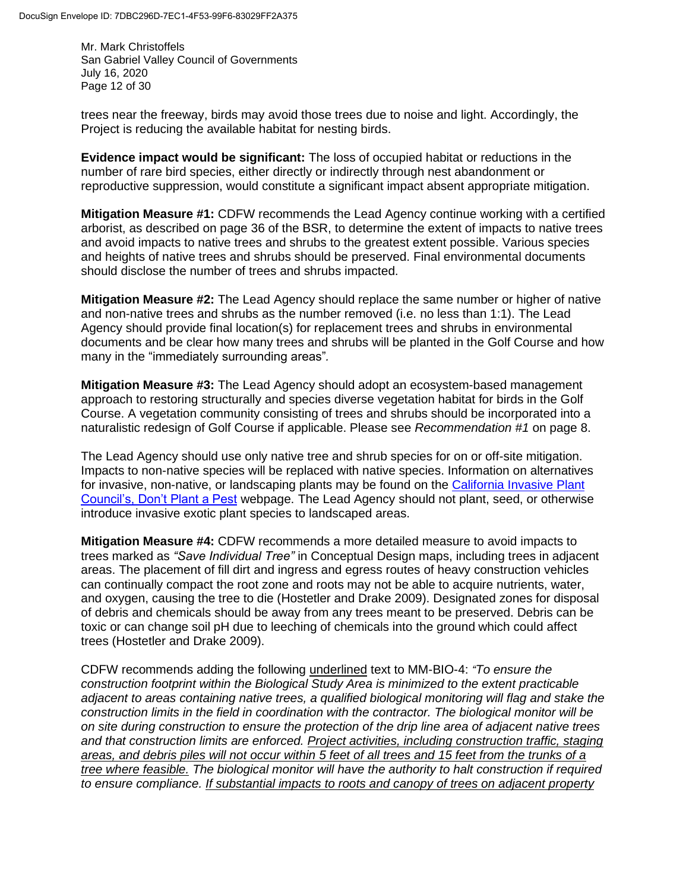Mr. Mark Christoffels San Gabriel Valley Council of Governments July 16, 2020 Page 12 of 30

trees near the freeway, birds may avoid those trees due to noise and light. Accordingly, the Project is reducing the available habitat for nesting birds.

**Evidence impact would be significant:** The loss of occupied habitat or reductions in the number of rare bird species, either directly or indirectly through nest abandonment or reproductive suppression, would constitute a significant impact absent appropriate mitigation.

**Mitigation Measure #1:** CDFW recommends the Lead Agency continue working with a certified arborist, as described on page 36 of the BSR, to determine the extent of impacts to native trees and avoid impacts to native trees and shrubs to the greatest extent possible. Various species and heights of native trees and shrubs should be preserved. Final environmental documents should disclose the number of trees and shrubs impacted.

**Mitigation Measure #2:** The Lead Agency should replace the same number or higher of native and non-native trees and shrubs as the number removed (i.e. no less than 1:1). The Lead Agency should provide final location(s) for replacement trees and shrubs in environmental documents and be clear how many trees and shrubs will be planted in the Golf Course and how many in the "immediately surrounding areas"*.* 

**Mitigation Measure #3:** The Lead Agency should adopt an ecosystem-based management approach to restoring structurally and species diverse vegetation habitat for birds in the Golf Course. A vegetation community consisting of trees and shrubs should be incorporated into a naturalistic redesign of Golf Course if applicable. Please see *Recommendation #1* on page 8.

The Lead Agency should use only native tree and shrub species for on or off-site mitigation. Impacts to non-native species will be replaced with native species. Information on alternatives for invasive, non-native, or landscaping plants may be found on the [California Invasive Plant](https://www.cal-ipc.org/solutions/prevention/landscaping/dpp/)  [Council's, Don't Plant a Pest](https://www.cal-ipc.org/solutions/prevention/landscaping/dpp/) webpage. The Lead Agency should not plant, seed, or otherwise introduce invasive exotic plant species to landscaped areas.

**Mitigation Measure #4:** CDFW recommends a more detailed measure to avoid impacts to trees marked as *"Save Individual Tree"* in Conceptual Design maps, including trees in adjacent areas. The placement of fill dirt and ingress and egress routes of heavy construction vehicles can continually compact the root zone and roots may not be able to acquire nutrients, water, and oxygen, causing the tree to die (Hostetler and Drake 2009). Designated zones for disposal of debris and chemicals should be away from any trees meant to be preserved. Debris can be toxic or can change soil pH due to leeching of chemicals into the ground which could affect trees (Hostetler and Drake 2009).

CDFW recommends adding the following underlined text to MM-BIO-4: *"To ensure the construction footprint within the Biological Study Area is minimized to the extent practicable adjacent to areas containing native trees, a qualified biological monitoring will flag and stake the construction limits in the field in coordination with the contractor. The biological monitor will be on site during construction to ensure the protection of the drip line area of adjacent native trees and that construction limits are enforced. Project activities, including construction traffic, staging areas, and debris piles will not occur within 5 feet of all trees and 15 feet from the trunks of a tree where feasible. The biological monitor will have the authority to halt construction if required to ensure compliance. If substantial impacts to roots and canopy of trees on adjacent property*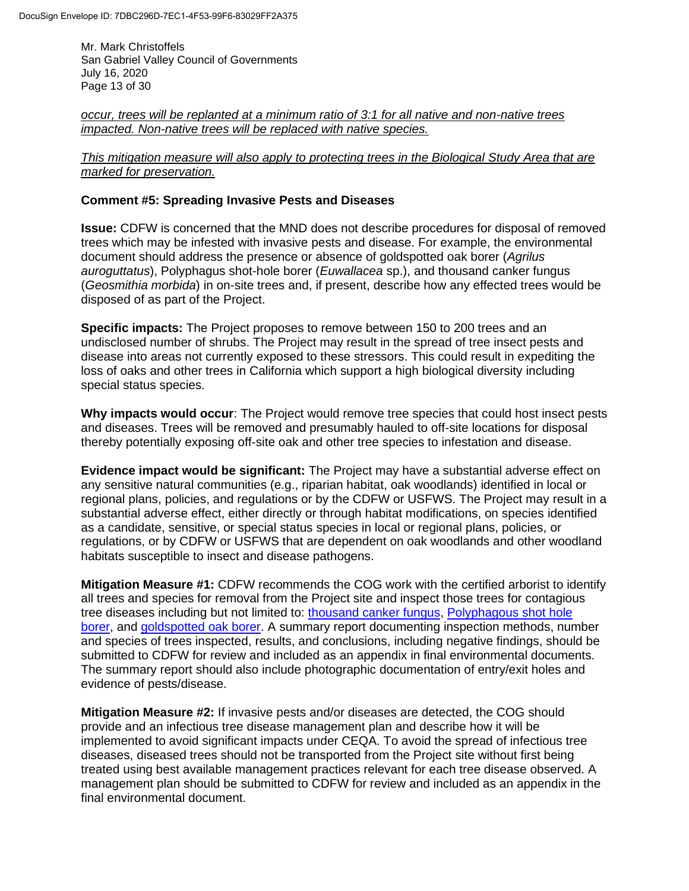Mr. Mark Christoffels San Gabriel Valley Council of Governments July 16, 2020 Page 13 of 30

*occur, trees will be replanted at a minimum ratio of 3:1 for all native and non-native trees impacted. Non-native trees will be replaced with native species.* 

*This mitigation measure will also apply to protecting trees in the Biological Study Area that are marked for preservation.*

#### **Comment #5: Spreading Invasive Pests and Diseases**

**Issue:** CDFW is concerned that the MND does not describe procedures for disposal of removed trees which may be infested with invasive pests and disease. For example, the environmental document should address the presence or absence of goldspotted oak borer (*Agrilus auroguttatus*), Polyphagus shot-hole borer (*Euwallacea* sp.), and thousand canker fungus (*Geosmithia morbida*) in on-site trees and, if present, describe how any effected trees would be disposed of as part of the Project.

**Specific impacts:** The Project proposes to remove between 150 to 200 trees and an undisclosed number of shrubs. The Project may result in the spread of tree insect pests and disease into areas not currently exposed to these stressors. This could result in expediting the loss of oaks and other trees in California which support a high biological diversity including special status species.

**Why impacts would occur**: The Project would remove tree species that could host insect pests and diseases. Trees will be removed and presumably hauled to off-site locations for disposal thereby potentially exposing off-site oak and other tree species to infestation and disease.

**Evidence impact would be significant:** The Project may have a substantial adverse effect on any sensitive natural communities (e.g., riparian habitat, oak woodlands) identified in local or regional plans, policies, and regulations or by the CDFW or USFWS. The Project may result in a substantial adverse effect, either directly or through habitat modifications, on species identified as a candidate, sensitive, or special status species in local or regional plans, policies, or regulations, or by CDFW or USFWS that are dependent on oak woodlands and other woodland habitats susceptible to insect and disease pathogens.

**Mitigation Measure #1:** CDFW recommends the COG work with the certified arborist to identify all trees and species for removal from the Project site and inspect those trees for contagious tree diseases including but not limited to: [thousand canker fungus,](https://gcc01.safelinks.protection.outlook.com/?url=http%3A%2F%2Fwww.thousandcankers.com%2F&data=02%7C01%7CRuby.Kwan-Davis%40Wildlife.ca.gov%7C684e53488ee44a4145e808d82823c1dc%7C4b633c25efbf40069f1507442ba7aa0b%7C0%7C0%7C637303481319962202&sdata=905nILBl%2FSOljeNZAjiORk8drTNsV1jm%2F6zAJ2MF1hU%3D&reserved=0) Polyphagous shot hole [borer,](https://gcc01.safelinks.protection.outlook.com/?url=http%3A%2F%2Feskalenlab.ucr.edu%2Favocado.html&data=02%7C01%7CRuby.Kwan-Davis%40Wildlife.ca.gov%7C684e53488ee44a4145e808d82823c1dc%7C4b633c25efbf40069f1507442ba7aa0b%7C0%7C0%7C637303481319972159&sdata=%2BL%2BWfdAEnollh2eaLr1imwbxtPKVqerSTzhVrQ0ZAMw%3D&reserved=0) and [goldspotted oak borer.](https://gcc01.safelinks.protection.outlook.com/?url=http%3A%2F%2Fipm.ucanr.edu%2FPMG%2FPESTNOTES%2Fpn74163.html&data=02%7C01%7CRuby.Kwan-Davis%40Wildlife.ca.gov%7C684e53488ee44a4145e808d82823c1dc%7C4b633c25efbf40069f1507442ba7aa0b%7C0%7C0%7C637303481319972159&sdata=9YRYAhvRO9GKhZ9hpfeDasl3sBAa%2B%2FVV0mPezdziPNM%3D&reserved=0) A summary report documenting inspection methods, number and species of trees inspected, results, and conclusions, including negative findings, should be submitted to CDFW for review and included as an appendix in final environmental documents. The summary report should also include photographic documentation of entry/exit holes and evidence of pests/disease.

**Mitigation Measure #2:** If invasive pests and/or diseases are detected, the COG should provide and an infectious tree disease management plan and describe how it will be implemented to avoid significant impacts under CEQA. To avoid the spread of infectious tree diseases, diseased trees should not be transported from the Project site without first being treated using best available management practices relevant for each tree disease observed. A management plan should be submitted to CDFW for review and included as an appendix in the final environmental document.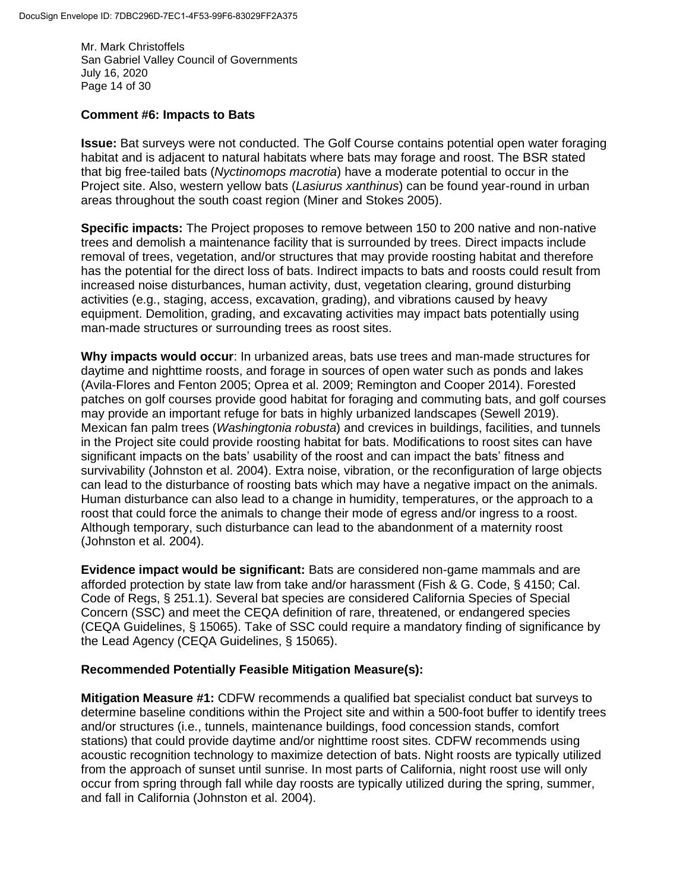Mr. Mark Christoffels San Gabriel Valley Council of Governments July 16, 2020 Page 14 of 30

#### **Comment #6: Impacts to Bats**

**Issue:** Bat surveys were not conducted. The Golf Course contains potential open water foraging habitat and is adjacent to natural habitats where bats may forage and roost. The BSR stated that big free-tailed bats (*Nyctinomops macrotia*) have a moderate potential to occur in the Project site. Also, western yellow bats (*Lasiurus xanthinus*) can be found year-round in urban areas throughout the south coast region (Miner and Stokes 2005).

**Specific impacts:** The Project proposes to remove between 150 to 200 native and non-native trees and demolish a maintenance facility that is surrounded by trees. Direct impacts include removal of trees, vegetation, and/or structures that may provide roosting habitat and therefore has the potential for the direct loss of bats. Indirect impacts to bats and roosts could result from increased noise disturbances, human activity, dust, vegetation clearing, ground disturbing activities (e.g., staging, access, excavation, grading), and vibrations caused by heavy equipment. Demolition, grading, and excavating activities may impact bats potentially using man-made structures or surrounding trees as roost sites.

**Why impacts would occur**: In urbanized areas, bats use trees and man-made structures for daytime and nighttime roosts, and forage in sources of open water such as ponds and lakes (Avila-Flores and Fenton 2005; Oprea et al. 2009; Remington and Cooper 2014). Forested patches on golf courses provide good habitat for foraging and commuting bats, and golf courses may provide an important refuge for bats in highly urbanized landscapes (Sewell 2019). Mexican fan palm trees (*Washingtonia robusta*) and crevices in buildings, facilities, and tunnels in the Project site could provide roosting habitat for bats. Modifications to roost sites can have significant impacts on the bats' usability of the roost and can impact the bats' fitness and survivability (Johnston et al. 2004). Extra noise, vibration, or the reconfiguration of large objects can lead to the disturbance of roosting bats which may have a negative impact on the animals. Human disturbance can also lead to a change in humidity, temperatures, or the approach to a roost that could force the animals to change their mode of egress and/or ingress to a roost. Although temporary, such disturbance can lead to the abandonment of a maternity roost (Johnston et al. 2004).

**Evidence impact would be significant:** Bats are considered non-game mammals and are afforded protection by state law from take and/or harassment (Fish & G. Code, § 4150; Cal. Code of Regs, § 251.1). Several bat species are considered California Species of Special Concern (SSC) and meet the CEQA definition of rare, threatened, or endangered species (CEQA Guidelines, § 15065). Take of SSC could require a mandatory finding of significance by the Lead Agency (CEQA Guidelines, § 15065).

#### **Recommended Potentially Feasible Mitigation Measure(s):**

**Mitigation Measure #1:** CDFW recommends a qualified bat specialist conduct bat surveys to determine baseline conditions within the Project site and within a 500-foot buffer to identify trees and/or structures (i.e., tunnels, maintenance buildings, food concession stands, comfort stations) that could provide daytime and/or nighttime roost sites. CDFW recommends using acoustic recognition technology to maximize detection of bats. Night roosts are typically utilized from the approach of sunset until sunrise. In most parts of California, night roost use will only occur from spring through fall while day roosts are typically utilized during the spring, summer, and fall in California (Johnston et al. 2004).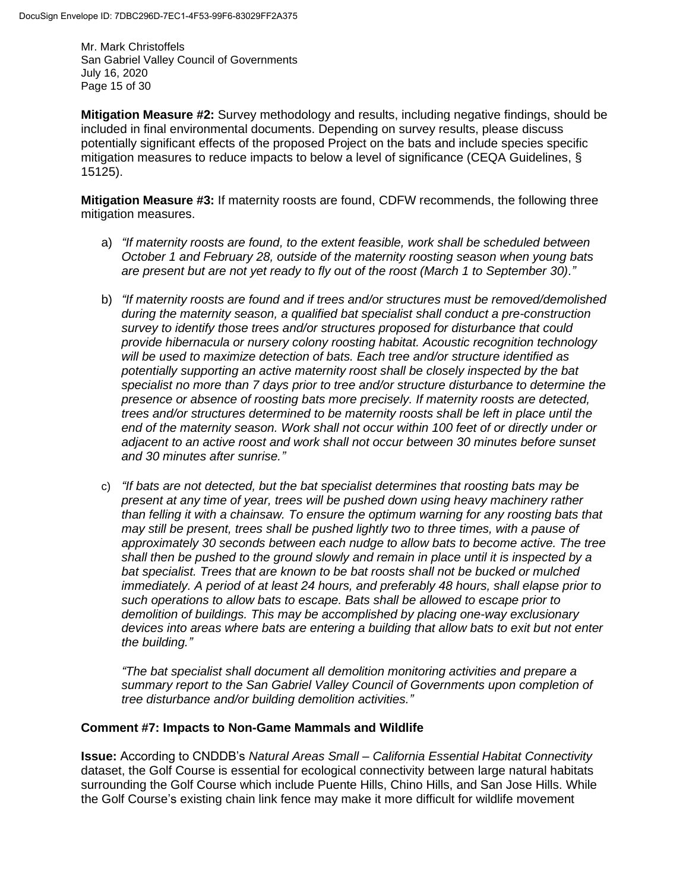Mr. Mark Christoffels San Gabriel Valley Council of Governments July 16, 2020 Page 15 of 30

**Mitigation Measure #2:** Survey methodology and results, including negative findings, should be included in final environmental documents. Depending on survey results, please discuss potentially significant effects of the proposed Project on the bats and include species specific mitigation measures to reduce impacts to below a level of significance (CEQA Guidelines, § 15125).

**Mitigation Measure #3:** If maternity roosts are found, CDFW recommends, the following three mitigation measures.

- a) *"If maternity roosts are found, to the extent feasible, work shall be scheduled between October 1 and February 28, outside of the maternity roosting season when young bats are present but are not yet ready to fly out of the roost (March 1 to September 30)."*
- b) *"If maternity roosts are found and if trees and/or structures must be removed/demolished during the maternity season, a qualified bat specialist shall conduct a pre-construction survey to identify those trees and/or structures proposed for disturbance that could provide hibernacula or nursery colony roosting habitat. Acoustic recognition technology will be used to maximize detection of bats. Each tree and/or structure identified as potentially supporting an active maternity roost shall be closely inspected by the bat specialist no more than 7 days prior to tree and/or structure disturbance to determine the presence or absence of roosting bats more precisely. If maternity roosts are detected, trees and/or structures determined to be maternity roosts shall be left in place until the end of the maternity season. Work shall not occur within 100 feet of or directly under or adjacent to an active roost and work shall not occur between 30 minutes before sunset and 30 minutes after sunrise."*
- c) *"If bats are not detected, but the bat specialist determines that roosting bats may be present at any time of year, trees will be pushed down using heavy machinery rather than felling it with a chainsaw. To ensure the optimum warning for any roosting bats that may still be present, trees shall be pushed lightly two to three times, with a pause of approximately 30 seconds between each nudge to allow bats to become active. The tree shall then be pushed to the ground slowly and remain in place until it is inspected by a bat specialist. Trees that are known to be bat roosts shall not be bucked or mulched immediately. A period of at least 24 hours, and preferably 48 hours, shall elapse prior to such operations to allow bats to escape. Bats shall be allowed to escape prior to demolition of buildings. This may be accomplished by placing one-way exclusionary devices into areas where bats are entering a building that allow bats to exit but not enter the building."*

*"The bat specialist shall document all demolition monitoring activities and prepare a summary report to the San Gabriel Valley Council of Governments upon completion of tree disturbance and/or building demolition activities."*

# **Comment #7: Impacts to Non-Game Mammals and Wildlife**

**Issue:** According to CNDDB's *Natural Areas Small – California Essential Habitat Connectivity* dataset, the Golf Course is essential for ecological connectivity between large natural habitats surrounding the Golf Course which include Puente Hills, Chino Hills, and San Jose Hills. While the Golf Course's existing chain link fence may make it more difficult for wildlife movement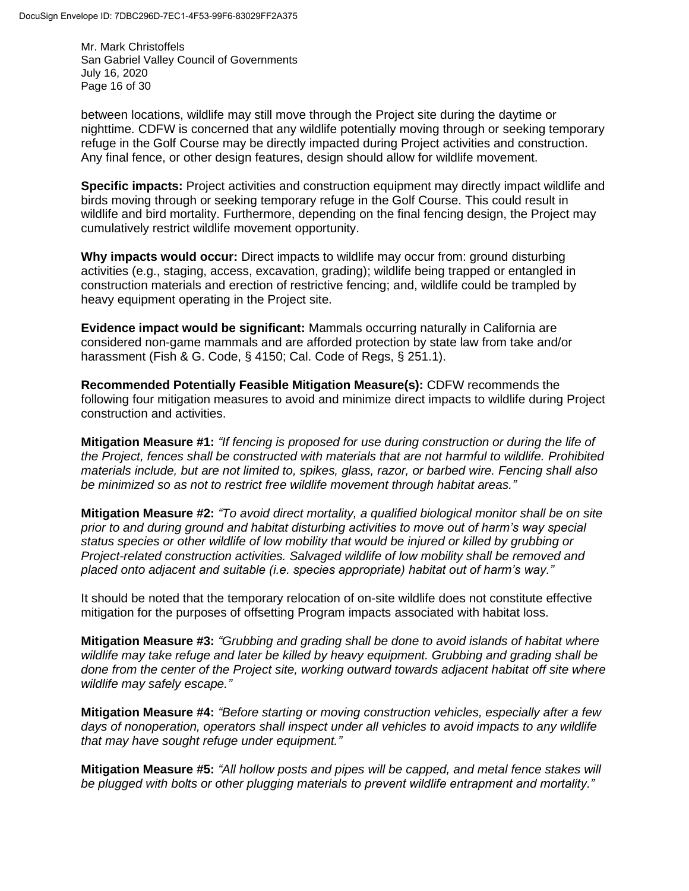Mr. Mark Christoffels San Gabriel Valley Council of Governments July 16, 2020 Page 16 of 30

between locations, wildlife may still move through the Project site during the daytime or nighttime. CDFW is concerned that any wildlife potentially moving through or seeking temporary refuge in the Golf Course may be directly impacted during Project activities and construction. Any final fence, or other design features, design should allow for wildlife movement.

**Specific impacts:** Project activities and construction equipment may directly impact wildlife and birds moving through or seeking temporary refuge in the Golf Course. This could result in wildlife and bird mortality. Furthermore, depending on the final fencing design, the Project may cumulatively restrict wildlife movement opportunity.

**Why impacts would occur:** Direct impacts to wildlife may occur from: ground disturbing activities (e.g., staging, access, excavation, grading); wildlife being trapped or entangled in construction materials and erection of restrictive fencing; and, wildlife could be trampled by heavy equipment operating in the Project site.

**Evidence impact would be significant:** Mammals occurring naturally in California are considered non-game mammals and are afforded protection by state law from take and/or harassment (Fish & G. Code, § 4150; Cal. Code of Regs, § 251.1).

**Recommended Potentially Feasible Mitigation Measure(s):** CDFW recommends the following four mitigation measures to avoid and minimize direct impacts to wildlife during Project construction and activities.

**Mitigation Measure #1:** *"If fencing is proposed for use during construction or during the life of the Project, fences shall be constructed with materials that are not harmful to wildlife. Prohibited materials include, but are not limited to, spikes, glass, razor, or barbed wire. Fencing shall also be minimized so as not to restrict free wildlife movement through habitat areas."* 

**Mitigation Measure #2:** *"To avoid direct mortality, a qualified biological monitor shall be on site prior to and during ground and habitat disturbing activities to move out of harm's way special status species or other wildlife of low mobility that would be injured or killed by grubbing or Project-related construction activities. Salvaged wildlife of low mobility shall be removed and placed onto adjacent and suitable (i.e. species appropriate) habitat out of harm's way."*

It should be noted that the temporary relocation of on-site wildlife does not constitute effective mitigation for the purposes of offsetting Program impacts associated with habitat loss.

**Mitigation Measure #3:** *"Grubbing and grading shall be done to avoid islands of habitat where*  wildlife may take refuge and later be killed by heavy equipment. Grubbing and grading shall be *done from the center of the Project site, working outward towards adjacent habitat off site where wildlife may safely escape."*

**Mitigation Measure #4:** *"Before starting or moving construction vehicles, especially after a few days of nonoperation, operators shall inspect under all vehicles to avoid impacts to any wildlife that may have sought refuge under equipment."*

**Mitigation Measure #5:** *"All hollow posts and pipes will be capped, and metal fence stakes will be plugged with bolts or other plugging materials to prevent wildlife entrapment and mortality."*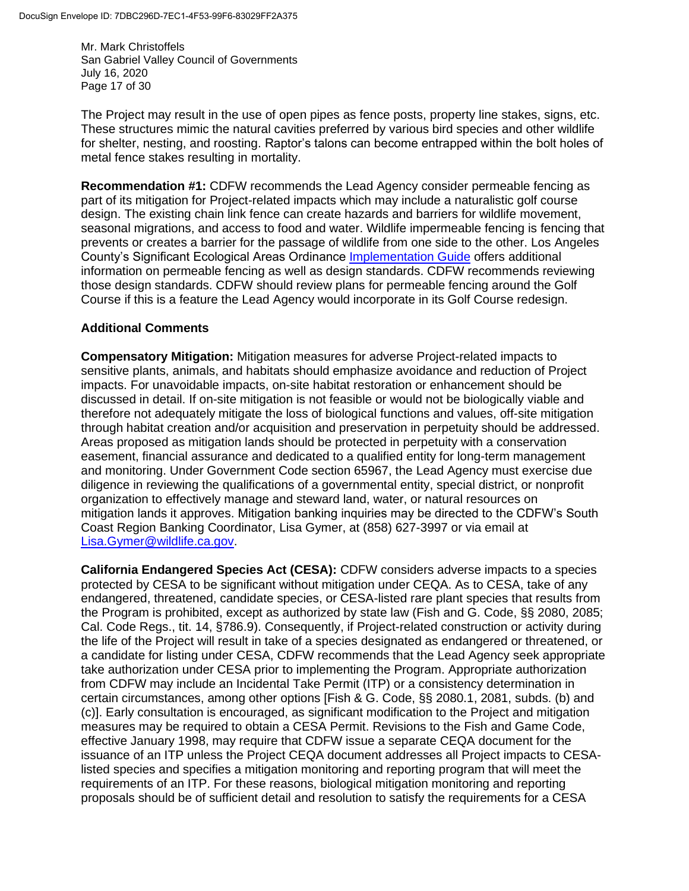Mr. Mark Christoffels San Gabriel Valley Council of Governments July 16, 2020 Page 17 of 30

The Project may result in the use of open pipes as fence posts, property line stakes, signs, etc. These structures mimic the natural cavities preferred by various bird species and other wildlife for shelter, nesting, and roosting. Raptor's talons can become entrapped within the bolt holes of metal fence stakes resulting in mortality.

**Recommendation #1:** CDFW recommends the Lead Agency consider permeable fencing as part of its mitigation for Project-related impacts which may include a naturalistic golf course design. The existing chain link fence can create hazards and barriers for wildlife movement, seasonal migrations, and access to food and water. Wildlife impermeable fencing is fencing that prevents or creates a barrier for the passage of wildlife from one side to the other. Los Angeles County's Significant Ecological Areas Ordinance [Implementation Guide](http://planning.lacounty.gov/site/sea/wp-content/uploads/2020/02/SEA-IG-2-6-20.pdf) offers additional information on permeable fencing as well as design standards. CDFW recommends reviewing those design standards. CDFW should review plans for permeable fencing around the Golf Course if this is a feature the Lead Agency would incorporate in its Golf Course redesign.

# **Additional Comments**

**Compensatory Mitigation:** Mitigation measures for adverse Project-related impacts to sensitive plants, animals, and habitats should emphasize avoidance and reduction of Project impacts. For unavoidable impacts, on-site habitat restoration or enhancement should be discussed in detail. If on-site mitigation is not feasible or would not be biologically viable and therefore not adequately mitigate the loss of biological functions and values, off-site mitigation through habitat creation and/or acquisition and preservation in perpetuity should be addressed. Areas proposed as mitigation lands should be protected in perpetuity with a conservation easement, financial assurance and dedicated to a qualified entity for long-term management and monitoring. Under Government Code section 65967, the Lead Agency must exercise due diligence in reviewing the qualifications of a governmental entity, special district, or nonprofit organization to effectively manage and steward land, water, or natural resources on mitigation lands it approves. Mitigation banking inquiries may be directed to the CDFW's South Coast Region Banking Coordinator, Lisa Gymer, at (858) 627-3997 or via email at [Lisa.Gymer@wildlife.ca.gov.](mailto:Lisa.Gymer@wildlife.ca.gov)

**California Endangered Species Act (CESA):** CDFW considers adverse impacts to a species protected by CESA to be significant without mitigation under CEQA. As to CESA, take of any endangered, threatened, candidate species, or CESA-listed rare plant species that results from the Program is prohibited, except as authorized by state law (Fish and G. Code, §§ 2080, 2085; Cal. Code Regs., tit. 14, §786.9). Consequently, if Project-related construction or activity during the life of the Project will result in take of a species designated as endangered or threatened, or a candidate for listing under CESA, CDFW recommends that the Lead Agency seek appropriate take authorization under CESA prior to implementing the Program. Appropriate authorization from CDFW may include an Incidental Take Permit (ITP) or a consistency determination in certain circumstances, among other options [Fish & G. Code, §§ 2080.1, 2081, subds. (b) and (c)]. Early consultation is encouraged, as significant modification to the Project and mitigation measures may be required to obtain a CESA Permit. Revisions to the Fish and Game Code, effective January 1998, may require that CDFW issue a separate CEQA document for the issuance of an ITP unless the Project CEQA document addresses all Project impacts to CESAlisted species and specifies a mitigation monitoring and reporting program that will meet the requirements of an ITP. For these reasons, biological mitigation monitoring and reporting proposals should be of sufficient detail and resolution to satisfy the requirements for a CESA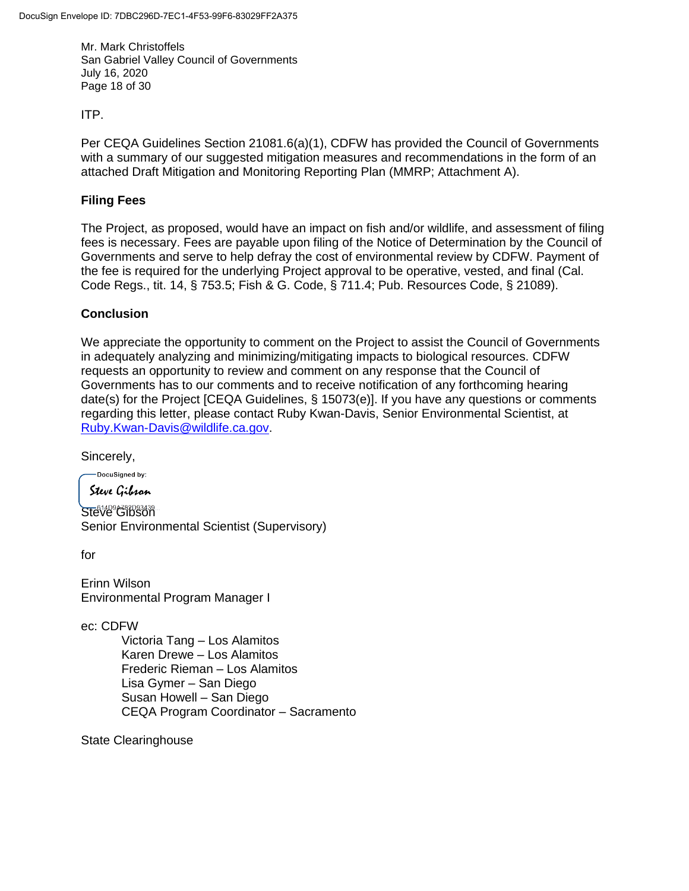Mr. Mark Christoffels San Gabriel Valley Council of Governments July 16, 2020 Page 18 of 30

ITP.

Per CEQA Guidelines Section 21081.6(a)(1), CDFW has provided the Council of Governments with a summary of our suggested mitigation measures and recommendations in the form of an attached Draft Mitigation and Monitoring Reporting Plan (MMRP; Attachment A).

### **Filing Fees**

The Project, as proposed, would have an impact on fish and/or wildlife, and assessment of filing fees is necessary. Fees are payable upon filing of the Notice of Determination by the Council of Governments and serve to help defray the cost of environmental review by CDFW. Payment of the fee is required for the underlying Project approval to be operative, vested, and final (Cal. Code Regs., tit. 14, § 753.5; Fish & G. Code, § 711.4; Pub. Resources Code, § 21089).

# **Conclusion**

We appreciate the opportunity to comment on the Project to assist the Council of Governments in adequately analyzing and minimizing/mitigating impacts to biological resources. CDFW requests an opportunity to review and comment on any response that the Council of Governments has to our comments and to receive notification of any forthcoming hearing date(s) for the Project [CEQA Guidelines, § 15073(e)]. If you have any questions or comments regarding this letter, please contact Ruby Kwan-Davis, Senior Environmental Scientist, at [Ruby.Kwan-Davis@wildlife.ca.gov.](mailto:Ruby.Kwan-Davis@wildlife.ca.gov)

Sincerely,

DocuSigned by:

Steve Gibran

Steve Gibson Senior Environmental Scientist (Supervisory)

for

Erinn Wilson Environmental Program Manager I

ec: CDFW

Victoria Tang – Los Alamitos Karen Drewe – Los Alamitos Frederic Rieman – Los Alamitos Lisa Gymer – San Diego Susan Howell – San Diego CEQA Program Coordinator – Sacramento

State Clearinghouse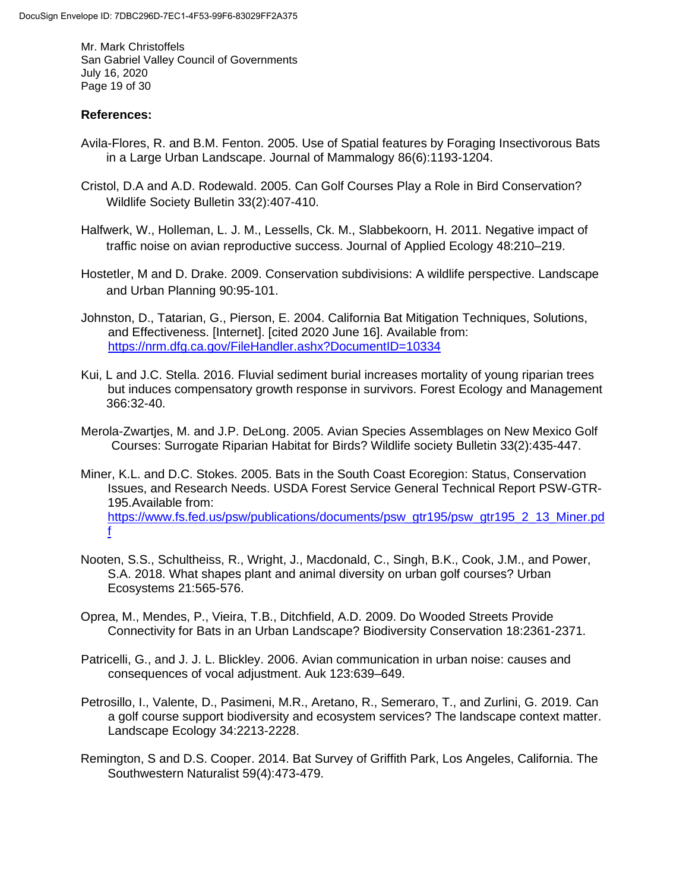Mr. Mark Christoffels San Gabriel Valley Council of Governments July 16, 2020 Page 19 of 30

### **References:**

- Avila-Flores, R. and B.M. Fenton. 2005. Use of Spatial features by Foraging Insectivorous Bats in a Large Urban Landscape. Journal of Mammalogy 86(6):1193-1204.
- Cristol, D.A and A.D. Rodewald. 2005. Can Golf Courses Play a Role in Bird Conservation? Wildlife Society Bulletin 33(2):407-410.
- Halfwerk, W., Holleman, L. J. M., Lessells, Ck. M., Slabbekoorn, H. 2011. Negative impact of traffic noise on avian reproductive success. Journal of Applied Ecology 48:210–219.
- Hostetler, M and D. Drake. 2009. Conservation subdivisions: A wildlife perspective. Landscape and Urban Planning 90:95-101.
- Johnston, D., Tatarian, G., Pierson, E. 2004. California Bat Mitigation Techniques, Solutions, and Effectiveness. [Internet]. [cited 2020 June 16]. Available from: <https://nrm.dfg.ca.gov/FileHandler.ashx?DocumentID=10334>
- Kui, L and J.C. Stella. 2016. Fluvial sediment burial increases mortality of young riparian trees but induces compensatory growth response in survivors. Forest Ecology and Management 366:32-40.
- Merola-Zwartjes, M. and J.P. DeLong. 2005. Avian Species Assemblages on New Mexico Golf Courses: Surrogate Riparian Habitat for Birds? Wildlife society Bulletin 33(2):435-447.
- Miner, K.L. and D.C. Stokes. 2005. Bats in the South Coast Ecoregion: Status, Conservation Issues, and Research Needs. USDA Forest Service General Technical Report PSW-GTR-195.Available from: [https://www.fs.fed.us/psw/publications/documents/psw\\_gtr195/psw\\_gtr195\\_2\\_13\\_Miner.pd](https://www.fs.fed.us/psw/publications/documents/psw_gtr195/psw_gtr195_2_13_Miner.pdf) [f](https://www.fs.fed.us/psw/publications/documents/psw_gtr195/psw_gtr195_2_13_Miner.pdf)
- Nooten, S.S., Schultheiss, R., Wright, J., Macdonald, C., Singh, B.K., Cook, J.M., and Power, S.A. 2018. What shapes plant and animal diversity on urban golf courses? Urban Ecosystems 21:565-576.
- Oprea, M., Mendes, P., Vieira, T.B., Ditchfield, A.D. 2009. Do Wooded Streets Provide Connectivity for Bats in an Urban Landscape? Biodiversity Conservation 18:2361-2371.
- Patricelli, G., and J. J. L. Blickley. 2006. Avian communication in urban noise: causes and consequences of vocal adjustment. Auk 123:639–649.
- Petrosillo, I., Valente, D., Pasimeni, M.R., Aretano, R., Semeraro, T., and Zurlini, G. 2019. Can a golf course support biodiversity and ecosystem services? The landscape context matter. Landscape Ecology 34:2213-2228.
- Remington, S and D.S. Cooper. 2014. Bat Survey of Griffith Park, Los Angeles, California. The Southwestern Naturalist 59(4):473-479.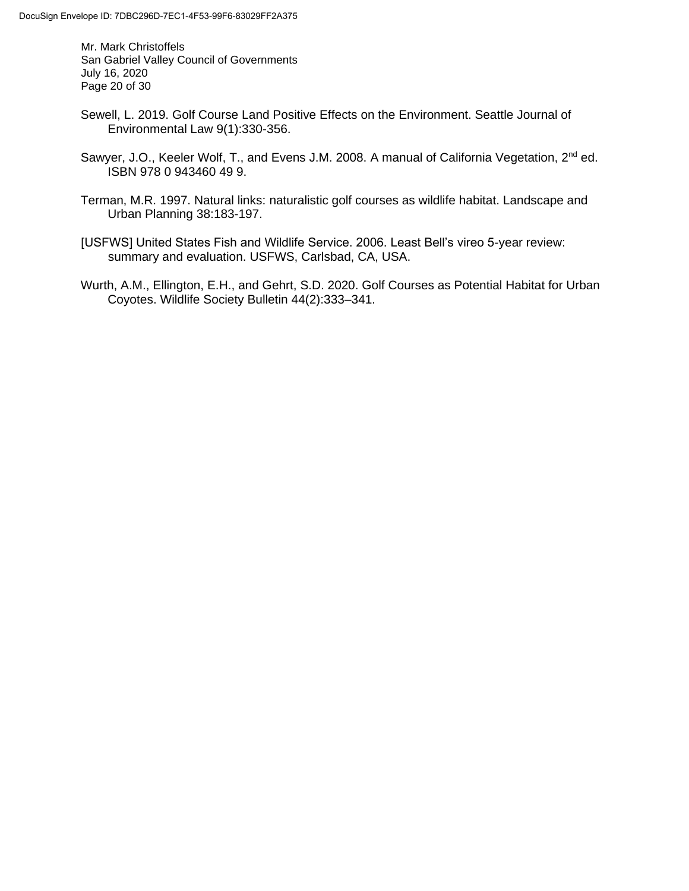Mr. Mark Christoffels San Gabriel Valley Council of Governments July 16, 2020 Page 20 of 30

- Sewell, L. 2019. Golf Course Land Positive Effects on the Environment. Seattle Journal of Environmental Law 9(1):330-356.
- Sawyer, J.O., Keeler Wolf, T., and Evens J.M. 2008. A manual of California Vegetation, 2<sup>nd</sup> ed. ISBN 978 0 943460 49 9.
- Terman, M.R. 1997. Natural links: naturalistic golf courses as wildlife habitat. Landscape and Urban Planning 38:183-197.
- [USFWS] United States Fish and Wildlife Service. 2006. Least Bell's vireo 5-year review: summary and evaluation. USFWS, Carlsbad, CA, USA.
- Wurth, A.M., Ellington, E.H., and Gehrt, S.D. 2020. Golf Courses as Potential Habitat for Urban Coyotes. Wildlife Society Bulletin 44(2):333–341.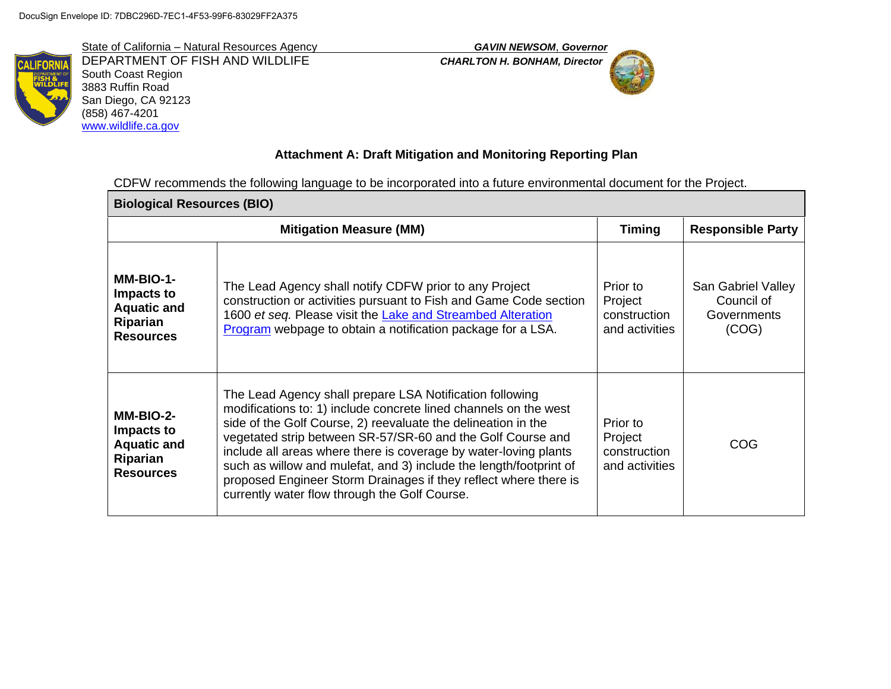DEPARTMENT OF FISH AND WILDLIFE *CHARLTON H. BONHAM, Director* South Coast Region 3883 Ruffin Road San Diego, CA 92123 (858) 467-4201 [www.wildlife.ca.gov](http://www.wildlife.ca.gov/)



# **Attachment A: Draft Mitigation and Monitoring Reporting Plan**

CDFW recommends the following language to be incorporated into a future environmental document for the Project.

| <b>Biological Resources (BIO)</b>                                             |                                                                                                                                                                                                                                                                                                                                                                                                                                                                                                                             |                                                       |                                                          |  |
|-------------------------------------------------------------------------------|-----------------------------------------------------------------------------------------------------------------------------------------------------------------------------------------------------------------------------------------------------------------------------------------------------------------------------------------------------------------------------------------------------------------------------------------------------------------------------------------------------------------------------|-------------------------------------------------------|----------------------------------------------------------|--|
|                                                                               | <b>Mitigation Measure (MM)</b>                                                                                                                                                                                                                                                                                                                                                                                                                                                                                              |                                                       | <b>Responsible Party</b>                                 |  |
| MM-BIO-1-<br>Impacts to<br><b>Aquatic and</b><br>Riparian<br><b>Resources</b> | The Lead Agency shall notify CDFW prior to any Project<br>construction or activities pursuant to Fish and Game Code section<br>1600 et seq. Please visit the Lake and Streambed Alteration<br>Program webpage to obtain a notification package for a LSA.                                                                                                                                                                                                                                                                   | Prior to<br>Project<br>construction<br>and activities | San Gabriel Valley<br>Council of<br>Governments<br>(COG) |  |
| MM-BIO-2-<br>Impacts to<br><b>Aquatic and</b><br>Riparian<br><b>Resources</b> | The Lead Agency shall prepare LSA Notification following<br>modifications to: 1) include concrete lined channels on the west<br>side of the Golf Course, 2) reevaluate the delineation in the<br>vegetated strip between SR-57/SR-60 and the Golf Course and<br>include all areas where there is coverage by water-loving plants<br>such as willow and mulefat, and 3) include the length/footprint of<br>proposed Engineer Storm Drainages if they reflect where there is<br>currently water flow through the Golf Course. | Prior to<br>Project<br>construction<br>and activities | COG                                                      |  |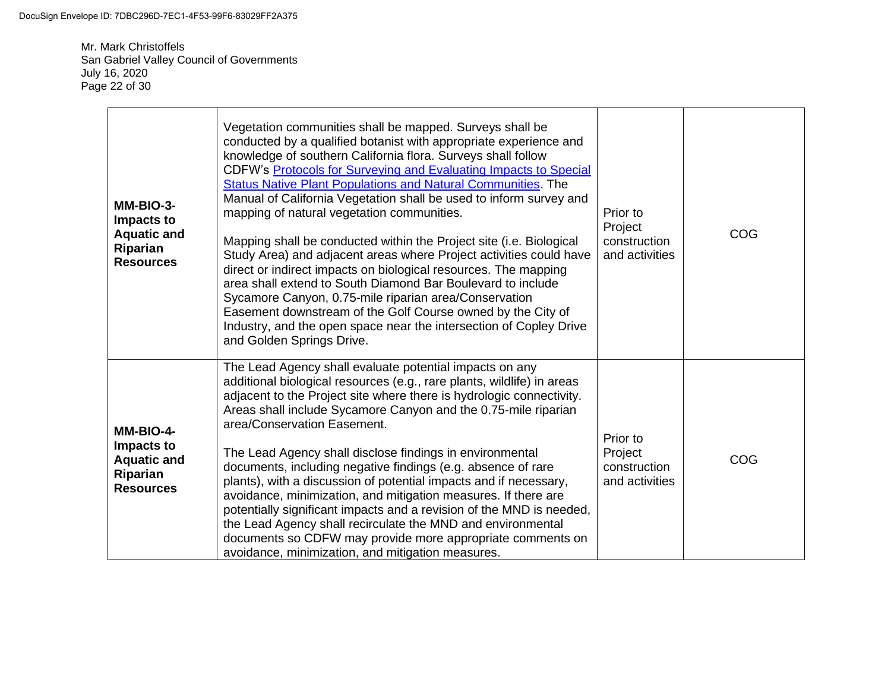Mr. Mark Christoffels San Gabriel Valley Council of Governments July 16, 2020 Page 22 of 30

| MM-BIO-3-<br>Impacts to<br><b>Aquatic and</b><br>Riparian<br><b>Resources</b> | Vegetation communities shall be mapped. Surveys shall be<br>conducted by a qualified botanist with appropriate experience and<br>knowledge of southern California flora. Surveys shall follow<br>CDFW's Protocols for Surveying and Evaluating Impacts to Special<br><b>Status Native Plant Populations and Natural Communities. The</b><br>Manual of California Vegetation shall be used to inform survey and<br>mapping of natural vegetation communities.<br>Mapping shall be conducted within the Project site (i.e. Biological<br>Study Area) and adjacent areas where Project activities could have<br>direct or indirect impacts on biological resources. The mapping<br>area shall extend to South Diamond Bar Boulevard to include<br>Sycamore Canyon, 0.75-mile riparian area/Conservation<br>Easement downstream of the Golf Course owned by the City of<br>Industry, and the open space near the intersection of Copley Drive<br>and Golden Springs Drive. | Prior to<br>Project<br>construction<br>and activities | COG |
|-------------------------------------------------------------------------------|------------------------------------------------------------------------------------------------------------------------------------------------------------------------------------------------------------------------------------------------------------------------------------------------------------------------------------------------------------------------------------------------------------------------------------------------------------------------------------------------------------------------------------------------------------------------------------------------------------------------------------------------------------------------------------------------------------------------------------------------------------------------------------------------------------------------------------------------------------------------------------------------------------------------------------------------------------------------|-------------------------------------------------------|-----|
| MM-BIO-4-<br>Impacts to<br><b>Aquatic and</b><br>Riparian<br><b>Resources</b> | The Lead Agency shall evaluate potential impacts on any<br>additional biological resources (e.g., rare plants, wildlife) in areas<br>adjacent to the Project site where there is hydrologic connectivity.<br>Areas shall include Sycamore Canyon and the 0.75-mile riparian<br>area/Conservation Easement.<br>The Lead Agency shall disclose findings in environmental<br>documents, including negative findings (e.g. absence of rare<br>plants), with a discussion of potential impacts and if necessary,<br>avoidance, minimization, and mitigation measures. If there are<br>potentially significant impacts and a revision of the MND is needed,<br>the Lead Agency shall recirculate the MND and environmental<br>documents so CDFW may provide more appropriate comments on<br>avoidance, minimization, and mitigation measures.                                                                                                                                | Prior to<br>Project<br>construction<br>and activities | COG |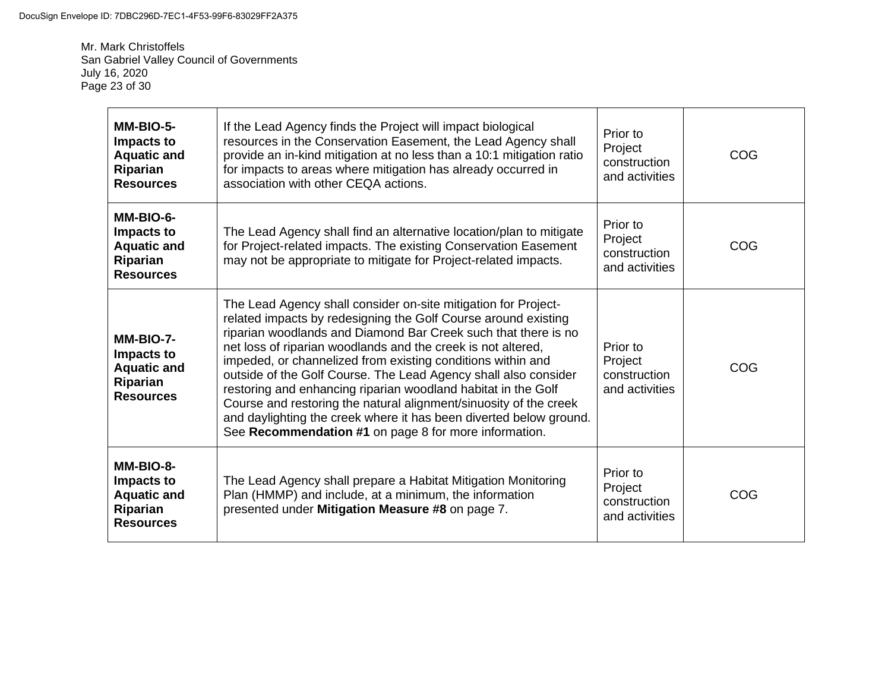Mr. Mark Christoffels San Gabriel Valley Council of Governments July 16, 2020 Page 23 of 30

| MM-BIO-5-<br>Impacts to<br><b>Aquatic and</b><br>Riparian<br><b>Resources</b> | If the Lead Agency finds the Project will impact biological<br>resources in the Conservation Easement, the Lead Agency shall<br>provide an in-kind mitigation at no less than a 10:1 mitigation ratio<br>for impacts to areas where mitigation has already occurred in<br>association with other CEQA actions.                                                                                                                                                                                                                                                                                                                                                            | Prior to<br>Project<br>construction<br>and activities | COG |
|-------------------------------------------------------------------------------|---------------------------------------------------------------------------------------------------------------------------------------------------------------------------------------------------------------------------------------------------------------------------------------------------------------------------------------------------------------------------------------------------------------------------------------------------------------------------------------------------------------------------------------------------------------------------------------------------------------------------------------------------------------------------|-------------------------------------------------------|-----|
| MM-BIO-6-<br>Impacts to<br><b>Aquatic and</b><br>Riparian<br><b>Resources</b> | The Lead Agency shall find an alternative location/plan to mitigate<br>for Project-related impacts. The existing Conservation Easement<br>may not be appropriate to mitigate for Project-related impacts.                                                                                                                                                                                                                                                                                                                                                                                                                                                                 | Prior to<br>Project<br>construction<br>and activities | COG |
| MM-BIO-7-<br>Impacts to<br><b>Aquatic and</b><br>Riparian<br><b>Resources</b> | The Lead Agency shall consider on-site mitigation for Project-<br>related impacts by redesigning the Golf Course around existing<br>riparian woodlands and Diamond Bar Creek such that there is no<br>net loss of riparian woodlands and the creek is not altered,<br>impeded, or channelized from existing conditions within and<br>outside of the Golf Course. The Lead Agency shall also consider<br>restoring and enhancing riparian woodland habitat in the Golf<br>Course and restoring the natural alignment/sinuosity of the creek<br>and daylighting the creek where it has been diverted below ground.<br>See Recommendation #1 on page 8 for more information. | Prior to<br>Project<br>construction<br>and activities | COG |
| MM-BIO-8-<br>Impacts to<br><b>Aquatic and</b><br>Riparian<br><b>Resources</b> | The Lead Agency shall prepare a Habitat Mitigation Monitoring<br>Plan (HMMP) and include, at a minimum, the information<br>presented under Mitigation Measure #8 on page 7.                                                                                                                                                                                                                                                                                                                                                                                                                                                                                               | Prior to<br>Project<br>construction<br>and activities | COG |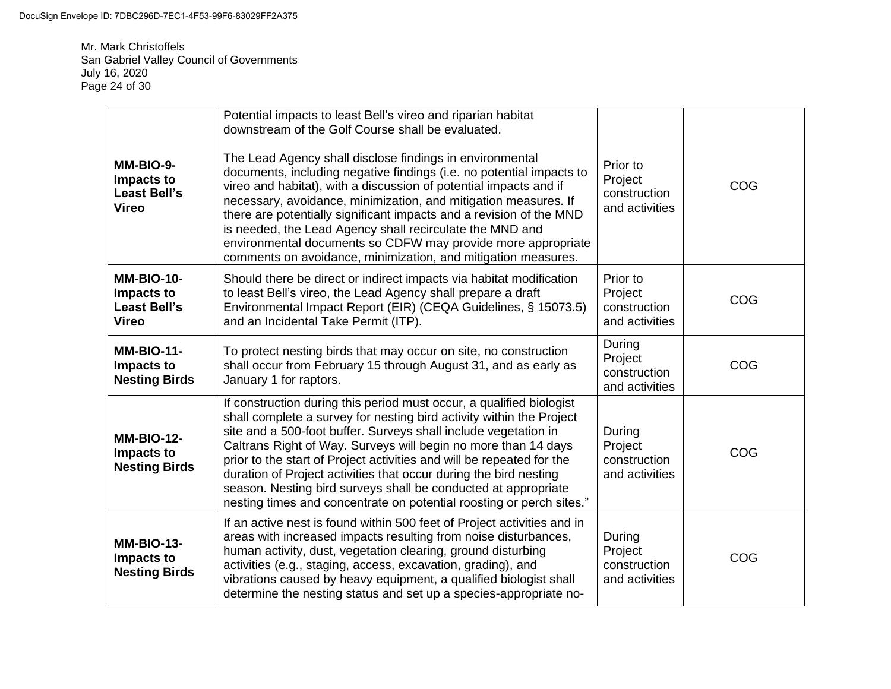Mr. Mark Christoffels San Gabriel Valley Council of Governments July 16, 2020 Page 24 of 30

| MM-BIO-9-<br>Impacts to<br><b>Least Bell's</b><br><b>Vireo</b>         | Potential impacts to least Bell's vireo and riparian habitat<br>downstream of the Golf Course shall be evaluated.<br>The Lead Agency shall disclose findings in environmental<br>documents, including negative findings (i.e. no potential impacts to<br>vireo and habitat), with a discussion of potential impacts and if<br>necessary, avoidance, minimization, and mitigation measures. If<br>there are potentially significant impacts and a revision of the MND<br>is needed, the Lead Agency shall recirculate the MND and<br>environmental documents so CDFW may provide more appropriate<br>comments on avoidance, minimization, and mitigation measures. | Prior to<br>Project<br>construction<br>and activities | COG |
|------------------------------------------------------------------------|-------------------------------------------------------------------------------------------------------------------------------------------------------------------------------------------------------------------------------------------------------------------------------------------------------------------------------------------------------------------------------------------------------------------------------------------------------------------------------------------------------------------------------------------------------------------------------------------------------------------------------------------------------------------|-------------------------------------------------------|-----|
| <b>MM-BIO-10-</b><br>Impacts to<br><b>Least Bell's</b><br><b>Vireo</b> | Should there be direct or indirect impacts via habitat modification<br>to least Bell's vireo, the Lead Agency shall prepare a draft<br>Environmental Impact Report (EIR) (CEQA Guidelines, § 15073.5)<br>and an Incidental Take Permit (ITP).                                                                                                                                                                                                                                                                                                                                                                                                                     | Prior to<br>Project<br>construction<br>and activities | COG |
| <b>MM-BIO-11-</b><br>Impacts to<br><b>Nesting Birds</b>                | To protect nesting birds that may occur on site, no construction<br>shall occur from February 15 through August 31, and as early as<br>January 1 for raptors.                                                                                                                                                                                                                                                                                                                                                                                                                                                                                                     | During<br>Project<br>construction<br>and activities   | COG |
| <b>MM-BIO-12-</b><br>Impacts to<br><b>Nesting Birds</b>                | If construction during this period must occur, a qualified biologist<br>shall complete a survey for nesting bird activity within the Project<br>site and a 500-foot buffer. Surveys shall include vegetation in<br>Caltrans Right of Way. Surveys will begin no more than 14 days<br>prior to the start of Project activities and will be repeated for the<br>duration of Project activities that occur during the bird nesting<br>season. Nesting bird surveys shall be conducted at appropriate<br>nesting times and concentrate on potential roosting or perch sites."                                                                                         | During<br>Project<br>construction<br>and activities   | COG |
| <b>MM-BIO-13-</b><br>Impacts to<br><b>Nesting Birds</b>                | If an active nest is found within 500 feet of Project activities and in<br>areas with increased impacts resulting from noise disturbances,<br>human activity, dust, vegetation clearing, ground disturbing<br>activities (e.g., staging, access, excavation, grading), and<br>vibrations caused by heavy equipment, a qualified biologist shall<br>determine the nesting status and set up a species-appropriate no-                                                                                                                                                                                                                                              | During<br>Project<br>construction<br>and activities   | COG |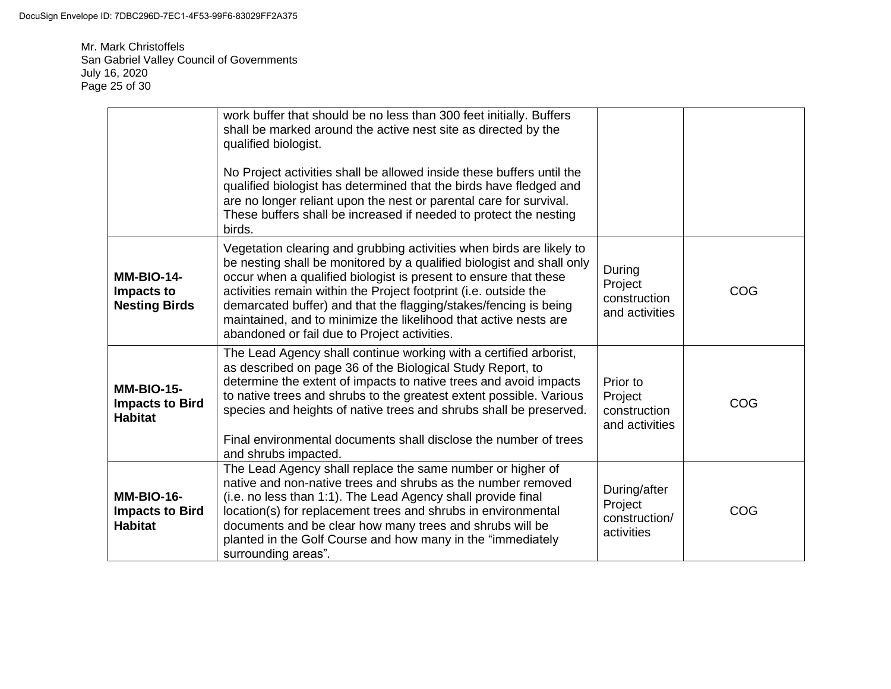Mr. Mark Christoffels San Gabriel Valley Council of Governments July 16, 2020 Page 25 of 30

|                                                               | work buffer that should be no less than 300 feet initially. Buffers<br>shall be marked around the active nest site as directed by the<br>qualified biologist.<br>No Project activities shall be allowed inside these buffers until the<br>qualified biologist has determined that the birds have fledged and<br>are no longer reliant upon the nest or parental care for survival.<br>These buffers shall be increased if needed to protect the nesting<br>birds.             |                                                        |     |
|---------------------------------------------------------------|-------------------------------------------------------------------------------------------------------------------------------------------------------------------------------------------------------------------------------------------------------------------------------------------------------------------------------------------------------------------------------------------------------------------------------------------------------------------------------|--------------------------------------------------------|-----|
| <b>MM-BIO-14-</b><br>Impacts to<br><b>Nesting Birds</b>       | Vegetation clearing and grubbing activities when birds are likely to<br>be nesting shall be monitored by a qualified biologist and shall only<br>occur when a qualified biologist is present to ensure that these<br>activities remain within the Project footprint (i.e. outside the<br>demarcated buffer) and that the flagging/stakes/fencing is being<br>maintained, and to minimize the likelihood that active nests are<br>abandoned or fail due to Project activities. | During<br>Project<br>construction<br>and activities    | COG |
| <b>MM-BIO-15-</b><br><b>Impacts to Bird</b><br><b>Habitat</b> | The Lead Agency shall continue working with a certified arborist,<br>as described on page 36 of the Biological Study Report, to<br>determine the extent of impacts to native trees and avoid impacts<br>to native trees and shrubs to the greatest extent possible. Various<br>species and heights of native trees and shrubs shall be preserved.<br>Final environmental documents shall disclose the number of trees<br>and shrubs impacted.                                 | Prior to<br>Project<br>construction<br>and activities  | COG |
| <b>MM-BIO-16-</b><br><b>Impacts to Bird</b><br><b>Habitat</b> | The Lead Agency shall replace the same number or higher of<br>native and non-native trees and shrubs as the number removed<br>(i.e. no less than 1:1). The Lead Agency shall provide final<br>location(s) for replacement trees and shrubs in environmental<br>documents and be clear how many trees and shrubs will be<br>planted in the Golf Course and how many in the "immediately"<br>surrounding areas".                                                                | During/after<br>Project<br>construction/<br>activities | COG |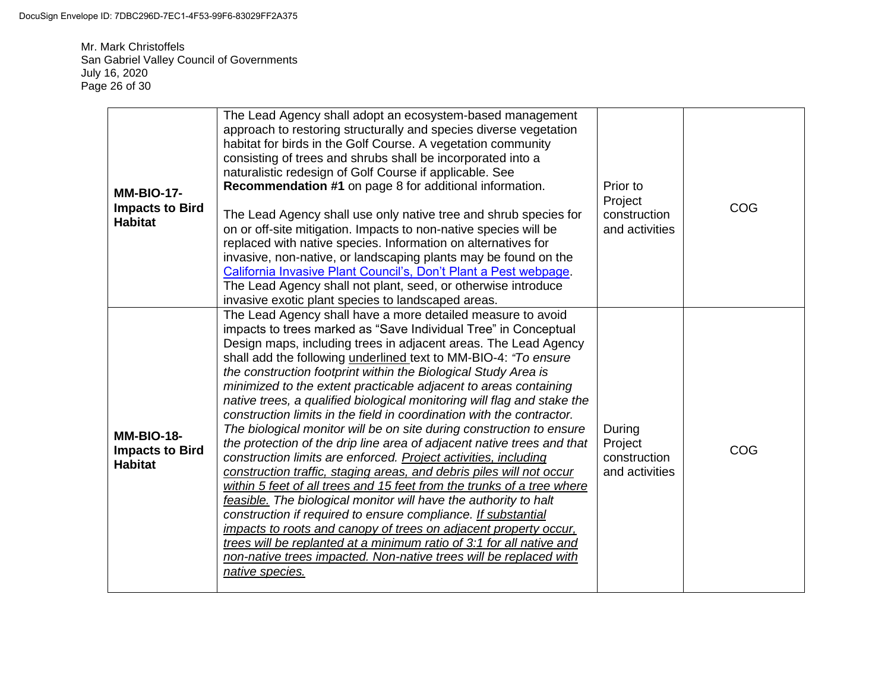Mr. Mark Christoffels San Gabriel Valley Council of Governments July 16, 2020 Page 26 of 30

| <b>MM-BIO-17-</b><br><b>Impacts to Bird</b><br><b>Habitat</b> | The Lead Agency shall adopt an ecosystem-based management<br>approach to restoring structurally and species diverse vegetation<br>habitat for birds in the Golf Course. A vegetation community<br>consisting of trees and shrubs shall be incorporated into a<br>naturalistic redesign of Golf Course if applicable. See<br>Recommendation #1 on page 8 for additional information.<br>The Lead Agency shall use only native tree and shrub species for<br>on or off-site mitigation. Impacts to non-native species will be<br>replaced with native species. Information on alternatives for<br>invasive, non-native, or landscaping plants may be found on the<br>California Invasive Plant Council's, Don't Plant a Pest webpage.<br>The Lead Agency shall not plant, seed, or otherwise introduce<br>invasive exotic plant species to landscaped areas.                                                                                                                                                                                                                                                                                                                                                                                                                                                     | Prior to<br>Project<br>construction<br>and activities | COG |
|---------------------------------------------------------------|----------------------------------------------------------------------------------------------------------------------------------------------------------------------------------------------------------------------------------------------------------------------------------------------------------------------------------------------------------------------------------------------------------------------------------------------------------------------------------------------------------------------------------------------------------------------------------------------------------------------------------------------------------------------------------------------------------------------------------------------------------------------------------------------------------------------------------------------------------------------------------------------------------------------------------------------------------------------------------------------------------------------------------------------------------------------------------------------------------------------------------------------------------------------------------------------------------------------------------------------------------------------------------------------------------------|-------------------------------------------------------|-----|
| <b>MM-BIO-18-</b><br><b>Impacts to Bird</b><br><b>Habitat</b> | The Lead Agency shall have a more detailed measure to avoid<br>impacts to trees marked as "Save Individual Tree" in Conceptual<br>Design maps, including trees in adjacent areas. The Lead Agency<br>shall add the following underlined text to MM-BIO-4: "To ensure<br>the construction footprint within the Biological Study Area is<br>minimized to the extent practicable adjacent to areas containing<br>native trees, a qualified biological monitoring will flag and stake the<br>construction limits in the field in coordination with the contractor.<br>The biological monitor will be on site during construction to ensure<br>the protection of the drip line area of adjacent native trees and that<br>construction limits are enforced. Project activities, including<br>construction traffic, staging areas, and debris piles will not occur<br>within 5 feet of all trees and 15 feet from the trunks of a tree where<br>feasible. The biological monitor will have the authority to halt<br>construction if required to ensure compliance. If substantial<br>impacts to roots and canopy of trees on adjacent property occur,<br>trees will be replanted at a minimum ratio of 3:1 for all native and<br>non-native trees impacted. Non-native trees will be replaced with<br>native species. | During<br>Project<br>construction<br>and activities   | COG |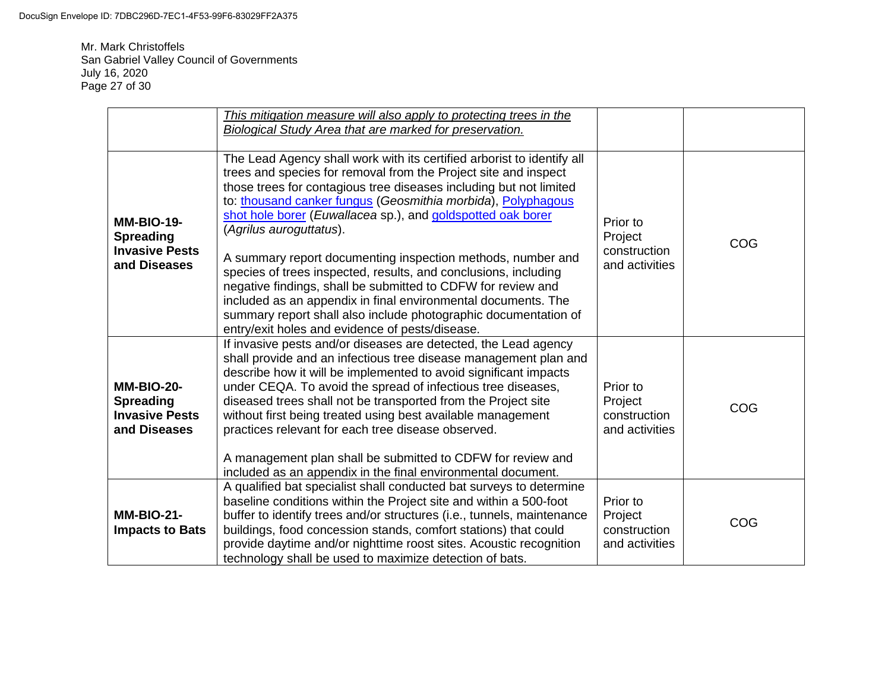Mr. Mark Christoffels San Gabriel Valley Council of Governments July 16, 2020 Page 27 of 30

|                                                                                | This mitigation measure will also apply to protecting trees in the<br>Biological Study Area that are marked for preservation.                                                                                                                                                                                                                                                                                                                                                                                                                                                                                                                                                                                                                                      |                                                       |     |
|--------------------------------------------------------------------------------|--------------------------------------------------------------------------------------------------------------------------------------------------------------------------------------------------------------------------------------------------------------------------------------------------------------------------------------------------------------------------------------------------------------------------------------------------------------------------------------------------------------------------------------------------------------------------------------------------------------------------------------------------------------------------------------------------------------------------------------------------------------------|-------------------------------------------------------|-----|
| <b>MM-BIO-19-</b><br><b>Spreading</b><br><b>Invasive Pests</b><br>and Diseases | The Lead Agency shall work with its certified arborist to identify all<br>trees and species for removal from the Project site and inspect<br>those trees for contagious tree diseases including but not limited<br>to: thousand canker fungus (Geosmithia morbida), Polyphagous<br>shot hole borer (Euwallacea sp.), and goldspotted oak borer<br>(Agrilus auroguttatus).<br>A summary report documenting inspection methods, number and<br>species of trees inspected, results, and conclusions, including<br>negative findings, shall be submitted to CDFW for review and<br>included as an appendix in final environmental documents. The<br>summary report shall also include photographic documentation of<br>entry/exit holes and evidence of pests/disease. | Prior to<br>Project<br>construction<br>and activities | COG |
| <b>MM-BIO-20-</b><br><b>Spreading</b><br><b>Invasive Pests</b><br>and Diseases | If invasive pests and/or diseases are detected, the Lead agency<br>shall provide and an infectious tree disease management plan and<br>describe how it will be implemented to avoid significant impacts<br>under CEQA. To avoid the spread of infectious tree diseases,<br>diseased trees shall not be transported from the Project site<br>without first being treated using best available management<br>practices relevant for each tree disease observed.<br>A management plan shall be submitted to CDFW for review and<br>included as an appendix in the final environmental document.                                                                                                                                                                       | Prior to<br>Project<br>construction<br>and activities | COG |
| <b>MM-BIO-21-</b><br><b>Impacts to Bats</b>                                    | A qualified bat specialist shall conducted bat surveys to determine<br>baseline conditions within the Project site and within a 500-foot<br>buffer to identify trees and/or structures (i.e., tunnels, maintenance<br>buildings, food concession stands, comfort stations) that could<br>provide daytime and/or nighttime roost sites. Acoustic recognition<br>technology shall be used to maximize detection of bats.                                                                                                                                                                                                                                                                                                                                             | Prior to<br>Project<br>construction<br>and activities | COG |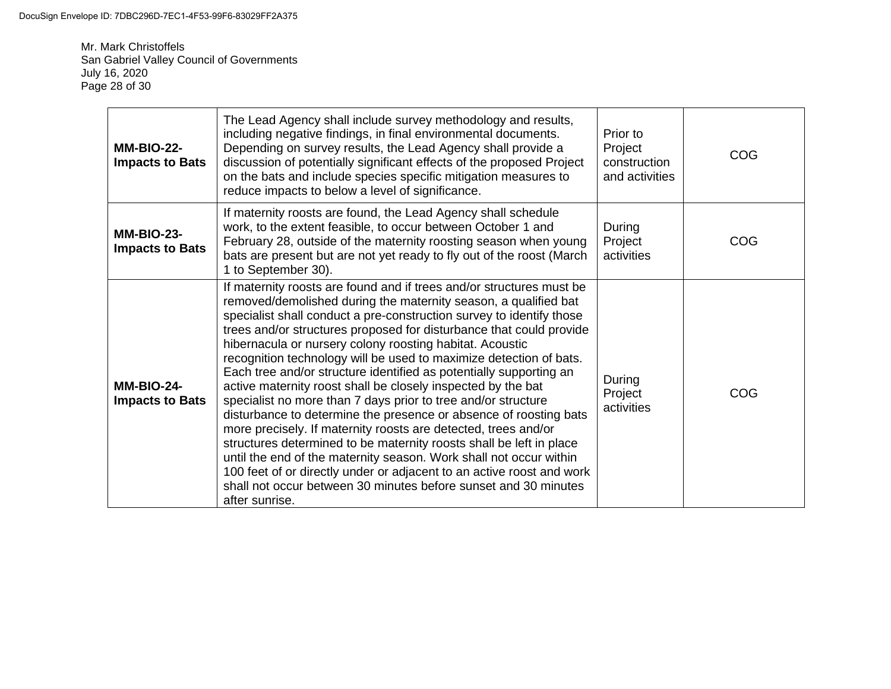Mr. Mark Christoffels San Gabriel Valley Council of Governments July 16, 2020 Page 28 of 30

| <b>MM-BIO-22-</b><br><b>Impacts to Bats</b> | The Lead Agency shall include survey methodology and results,<br>including negative findings, in final environmental documents.<br>Depending on survey results, the Lead Agency shall provide a<br>discussion of potentially significant effects of the proposed Project<br>on the bats and include species specific mitigation measures to<br>reduce impacts to below a level of significance.                                                                                                                                                                                                                                                                                                                                                                                                                                                                                                                                                                                                                                                                                   | Prior to<br>Project<br>construction<br>and activities | COG |
|---------------------------------------------|-----------------------------------------------------------------------------------------------------------------------------------------------------------------------------------------------------------------------------------------------------------------------------------------------------------------------------------------------------------------------------------------------------------------------------------------------------------------------------------------------------------------------------------------------------------------------------------------------------------------------------------------------------------------------------------------------------------------------------------------------------------------------------------------------------------------------------------------------------------------------------------------------------------------------------------------------------------------------------------------------------------------------------------------------------------------------------------|-------------------------------------------------------|-----|
| <b>MM-BIO-23-</b><br><b>Impacts to Bats</b> | If maternity roosts are found, the Lead Agency shall schedule<br>work, to the extent feasible, to occur between October 1 and<br>February 28, outside of the maternity roosting season when young<br>bats are present but are not yet ready to fly out of the roost (March<br>1 to September 30).                                                                                                                                                                                                                                                                                                                                                                                                                                                                                                                                                                                                                                                                                                                                                                                 | During<br>Project<br>activities                       | COG |
| <b>MM-BIO-24-</b><br><b>Impacts to Bats</b> | If maternity roosts are found and if trees and/or structures must be<br>removed/demolished during the maternity season, a qualified bat<br>specialist shall conduct a pre-construction survey to identify those<br>trees and/or structures proposed for disturbance that could provide<br>hibernacula or nursery colony roosting habitat. Acoustic<br>recognition technology will be used to maximize detection of bats.<br>Each tree and/or structure identified as potentially supporting an<br>active maternity roost shall be closely inspected by the bat<br>specialist no more than 7 days prior to tree and/or structure<br>disturbance to determine the presence or absence of roosting bats<br>more precisely. If maternity roosts are detected, trees and/or<br>structures determined to be maternity roosts shall be left in place<br>until the end of the maternity season. Work shall not occur within<br>100 feet of or directly under or adjacent to an active roost and work<br>shall not occur between 30 minutes before sunset and 30 minutes<br>after sunrise. | During<br>Project<br>activities                       | COG |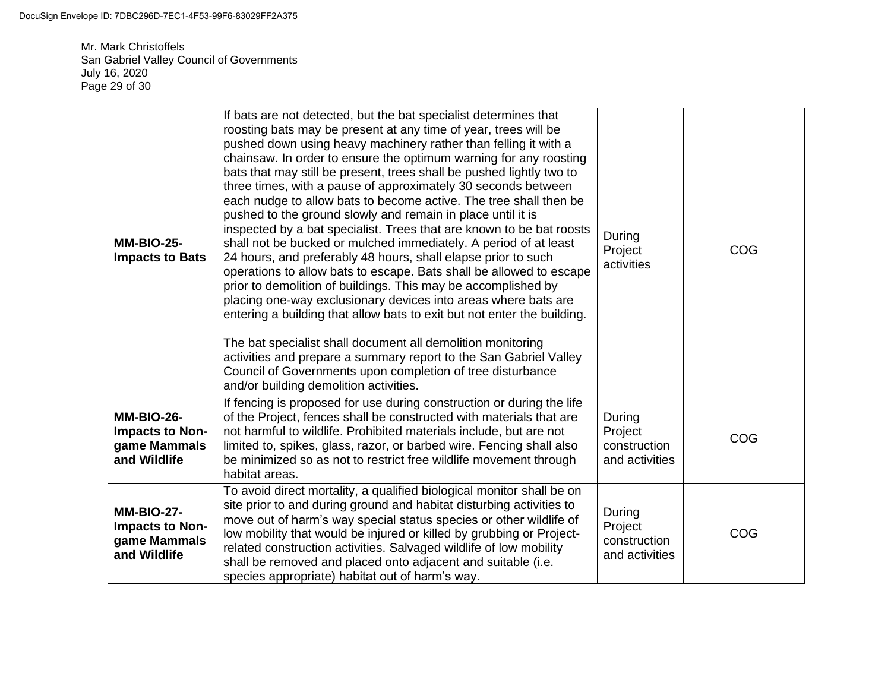Mr. Mark Christoffels San Gabriel Valley Council of Governments July 16, 2020 Page 29 of 30

| <b>MM-BIO-25-</b><br><b>Impacts to Bats</b>                                 | If bats are not detected, but the bat specialist determines that<br>roosting bats may be present at any time of year, trees will be<br>pushed down using heavy machinery rather than felling it with a<br>chainsaw. In order to ensure the optimum warning for any roosting<br>bats that may still be present, trees shall be pushed lightly two to<br>three times, with a pause of approximately 30 seconds between<br>each nudge to allow bats to become active. The tree shall then be<br>pushed to the ground slowly and remain in place until it is<br>inspected by a bat specialist. Trees that are known to be bat roosts<br>shall not be bucked or mulched immediately. A period of at least<br>24 hours, and preferably 48 hours, shall elapse prior to such<br>operations to allow bats to escape. Bats shall be allowed to escape<br>prior to demolition of buildings. This may be accomplished by<br>placing one-way exclusionary devices into areas where bats are<br>entering a building that allow bats to exit but not enter the building.<br>The bat specialist shall document all demolition monitoring<br>activities and prepare a summary report to the San Gabriel Valley<br>Council of Governments upon completion of tree disturbance<br>and/or building demolition activities. | During<br>Project<br>activities                     | COG |
|-----------------------------------------------------------------------------|--------------------------------------------------------------------------------------------------------------------------------------------------------------------------------------------------------------------------------------------------------------------------------------------------------------------------------------------------------------------------------------------------------------------------------------------------------------------------------------------------------------------------------------------------------------------------------------------------------------------------------------------------------------------------------------------------------------------------------------------------------------------------------------------------------------------------------------------------------------------------------------------------------------------------------------------------------------------------------------------------------------------------------------------------------------------------------------------------------------------------------------------------------------------------------------------------------------------------------------------------------------------------------------------------------|-----------------------------------------------------|-----|
| <b>MM-BIO-26-</b><br>Impacts to Non-<br>game Mammals<br>and Wildlife        | If fencing is proposed for use during construction or during the life<br>of the Project, fences shall be constructed with materials that are<br>not harmful to wildlife. Prohibited materials include, but are not<br>limited to, spikes, glass, razor, or barbed wire. Fencing shall also<br>be minimized so as not to restrict free wildlife movement through<br>habitat areas.                                                                                                                                                                                                                                                                                                                                                                                                                                                                                                                                                                                                                                                                                                                                                                                                                                                                                                                      | During<br>Project<br>construction<br>and activities | COG |
| <b>MM-BIO-27-</b><br><b>Impacts to Non-</b><br>game Mammals<br>and Wildlife | To avoid direct mortality, a qualified biological monitor shall be on<br>site prior to and during ground and habitat disturbing activities to<br>move out of harm's way special status species or other wildlife of<br>low mobility that would be injured or killed by grubbing or Project-<br>related construction activities. Salvaged wildlife of low mobility<br>shall be removed and placed onto adjacent and suitable (i.e.<br>species appropriate) habitat out of harm's way.                                                                                                                                                                                                                                                                                                                                                                                                                                                                                                                                                                                                                                                                                                                                                                                                                   | During<br>Project<br>construction<br>and activities | COG |